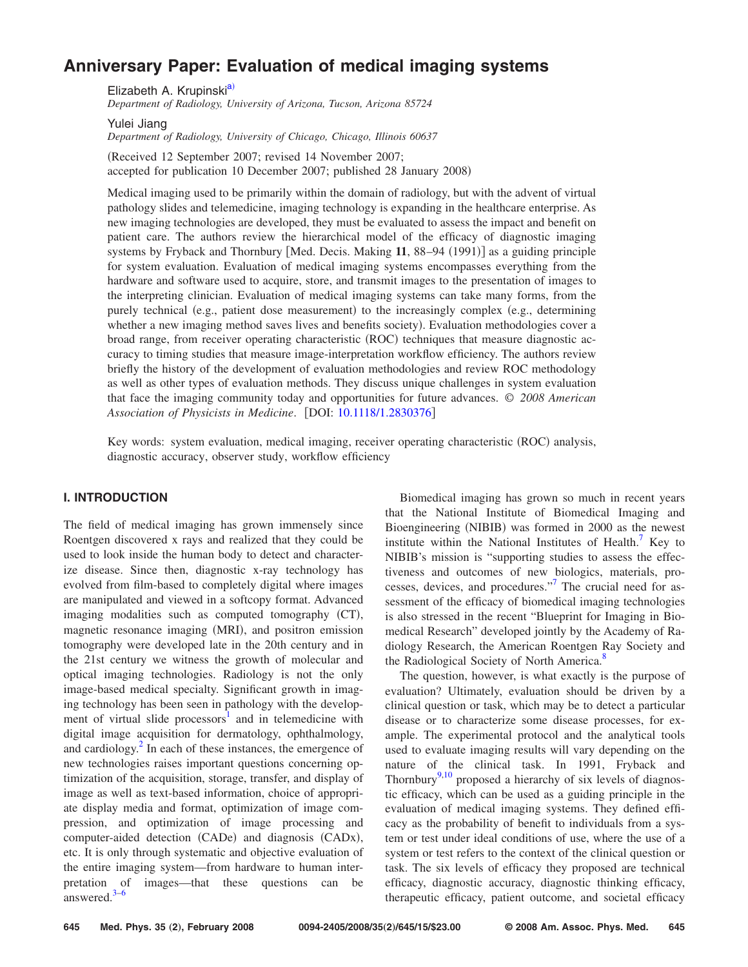# **[Anniversary Paper: Evaluation of medical imaging systems](http://dx.doi.org/10.1118/1.2830376)**

Elizabeth A. Krupinski<sup>a)</sup>

*Department of Radiology, University of Arizona, Tucson, Arizona 85724*

Yulei Jiang *Department of Radiology, University of Chicago, Chicago, Illinois 60637*

Received 12 September 2007; revised 14 November 2007; accepted for publication 10 December 2007; published 28 January 2008)

Medical imaging used to be primarily within the domain of radiology, but with the advent of virtual pathology slides and telemedicine, imaging technology is expanding in the healthcare enterprise. As new imaging technologies are developed, they must be evaluated to assess the impact and benefit on patient care. The authors review the hierarchical model of the efficacy of diagnostic imaging systems by Fryback and Thornbury [Med. Decis. Making 11, 88-94 (1991)] as a guiding principle for system evaluation. Evaluation of medical imaging systems encompasses everything from the hardware and software used to acquire, store, and transmit images to the presentation of images to the interpreting clinician. Evaluation of medical imaging systems can take many forms, from the purely technical (e.g., patient dose measurement) to the increasingly complex (e.g., determining whether a new imaging method saves lives and benefits society). Evaluation methodologies cover a broad range, from receiver operating characteristic (ROC) techniques that measure diagnostic accuracy to timing studies that measure image-interpretation workflow efficiency. The authors review briefly the history of the development of evaluation methodologies and review ROC methodology as well as other types of evaluation methods. They discuss unique challenges in system evaluation that face the imaging community today and opportunities for future advances. © *2008 American Association of Physicists in Medicine*. DOI: [10.1118/1.2830376](http://dx.doi.org/10.1118/1.2830376)

Key words: system evaluation, medical imaging, receiver operating characteristic (ROC) analysis, diagnostic accuracy, observer study, workflow efficiency

### **I. INTRODUCTION**

The field of medical imaging has grown immensely since Roentgen discovered x rays and realized that they could be used to look inside the human body to detect and characterize disease. Since then, diagnostic x-ray technology has evolved from film-based to completely digital where images are manipulated and viewed in a softcopy format. Advanced imaging modalities such as computed tomography (CT), magnetic resonance imaging (MRI), and positron emission tomography were developed late in the 20th century and in the 21st century we witness the growth of molecular and optical imaging technologies. Radiology is not the only image-based medical specialty. Significant growth in imaging technology has been seen in pathology with the development of virtual slide processors<sup>1</sup> and in telemedicine with digital image acquisition for dermatology, ophthalmology, and cardiology.<sup>2</sup> In each of these instances, the emergence of new technologies raises important questions concerning optimization of the acquisition, storage, transfer, and display of image as well as text-based information, choice of appropriate display media and format, optimization of image compression, and optimization of image processing and computer-aided detection (CADe) and diagnosis (CADx), etc. It is only through systematic and objective evaluation of the entire imaging system—from hardware to human interpretation of images—that these questions can be answered. $3-6$ 

Biomedical imaging has grown so much in recent years that the National Institute of Biomedical Imaging and Bioengineering (NIBIB) was formed in 2000 as the newest institute within the National Institutes of Health.<sup>7</sup> Key to NIBIB's mission is "supporting studies to assess the effectiveness and outcomes of new biologics, materials, processes, devices, and procedures."7 The crucial need for assessment of the efficacy of biomedical imaging technologies is also stressed in the recent "Blueprint for Imaging in Biomedical Research" developed jointly by the Academy of Radiology Research, the American Roentgen Ray Society and the Radiological Society of North America.<sup>8</sup>

The question, however, is what exactly is the purpose of evaluation? Ultimately, evaluation should be driven by a clinical question or task, which may be to detect a particular disease or to characterize some disease processes, for example. The experimental protocol and the analytical tools used to evaluate imaging results will vary depending on the nature of the clinical task. In 1991, Fryback and Thornbury $9,10$  proposed a hierarchy of six levels of diagnostic efficacy, which can be used as a guiding principle in the evaluation of medical imaging systems. They defined efficacy as the probability of benefit to individuals from a system or test under ideal conditions of use, where the use of a system or test refers to the context of the clinical question or task. The six levels of efficacy they proposed are technical efficacy, diagnostic accuracy, diagnostic thinking efficacy, therapeutic efficacy, patient outcome, and societal efficacy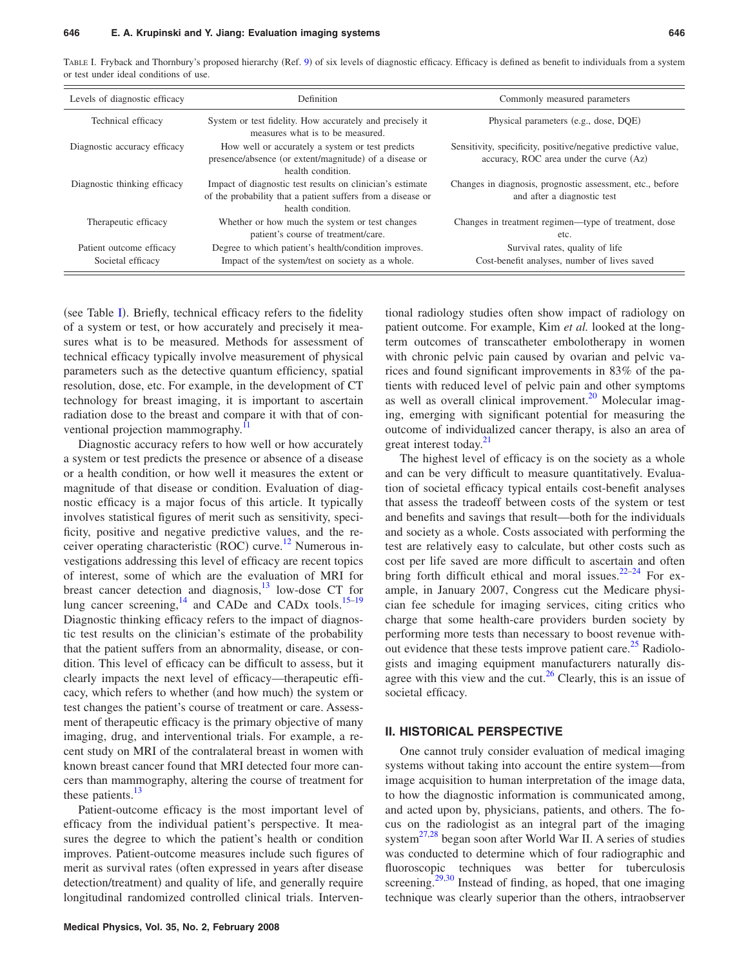TABLE I. Fryback and Thornbury's proposed hierarchy (Ref. 9) of six levels of diagnostic efficacy. Efficacy is defined as benefit to individuals from a system or test under ideal conditions of use.

| Levels of diagnostic efficacy                 | Definition                                                                                                                                    | Commonly measured parameters                                                                             |
|-----------------------------------------------|-----------------------------------------------------------------------------------------------------------------------------------------------|----------------------------------------------------------------------------------------------------------|
| Technical efficacy                            | System or test fidelity. How accurately and precisely it<br>measures what is to be measured.                                                  | Physical parameters (e.g., dose, DQE)                                                                    |
| Diagnostic accuracy efficacy                  | How well or accurately a system or test predicts<br>presence/absence (or extent/magnitude) of a disease or<br>health condition.               | Sensitivity, specificity, positive/negative predictive value,<br>accuracy, ROC area under the curve (Az) |
| Diagnostic thinking efficacy                  | Impact of diagnostic test results on clinician's estimate<br>of the probability that a patient suffers from a disease or<br>health condition. | Changes in diagnosis, prognostic assessment, etc., before<br>and after a diagnostic test                 |
| Therapeutic efficacy                          | Whether or how much the system or test changes<br>patient's course of treatment/care.                                                         | Changes in treatment regimen—type of treatment, dose<br>etc.                                             |
| Patient outcome efficacy<br>Societal efficacy | Degree to which patient's health/condition improves.<br>Impact of the system/test on society as a whole.                                      | Survival rates, quality of life<br>Cost-benefit analyses, number of lives saved                          |

(see Table I). Briefly, technical efficacy refers to the fidelity of a system or test, or how accurately and precisely it measures what is to be measured. Methods for assessment of technical efficacy typically involve measurement of physical parameters such as the detective quantum efficiency, spatial resolution, dose, etc. For example, in the development of CT technology for breast imaging, it is important to ascertain radiation dose to the breast and compare it with that of conventional projection mammography.<sup>11</sup>

Diagnostic accuracy refers to how well or how accurately a system or test predicts the presence or absence of a disease or a health condition, or how well it measures the extent or magnitude of that disease or condition. Evaluation of diagnostic efficacy is a major focus of this article. It typically involves statistical figures of merit such as sensitivity, specificity, positive and negative predictive values, and the receiver operating characteristic (ROC) curve.<sup>12</sup> Numerous investigations addressing this level of efficacy are recent topics of interest, some of which are the evaluation of MRI for breast cancer detection and diagnosis, $13$  low-dose CT for lung cancer screening, $^{14}$  and CADe and CADx tools.<sup>15–19</sup> Diagnostic thinking efficacy refers to the impact of diagnostic test results on the clinician's estimate of the probability that the patient suffers from an abnormality, disease, or condition. This level of efficacy can be difficult to assess, but it clearly impacts the next level of efficacy—therapeutic efficacy, which refers to whether (and how much) the system or test changes the patient's course of treatment or care. Assessment of therapeutic efficacy is the primary objective of many imaging, drug, and interventional trials. For example, a recent study on MRI of the contralateral breast in women with known breast cancer found that MRI detected four more cancers than mammography, altering the course of treatment for these patients. $13$ 

Patient-outcome efficacy is the most important level of efficacy from the individual patient's perspective. It measures the degree to which the patient's health or condition improves. Patient-outcome measures include such figures of merit as survival rates (often expressed in years after disease detection/treatment) and quality of life, and generally require longitudinal randomized controlled clinical trials. Interventional radiology studies often show impact of radiology on patient outcome. For example, Kim *et al.* looked at the longterm outcomes of transcatheter embolotherapy in women with chronic pelvic pain caused by ovarian and pelvic varices and found significant improvements in 83*%* of the patients with reduced level of pelvic pain and other symptoms as well as overall clinical improvement.<sup>20</sup> Molecular imaging, emerging with significant potential for measuring the outcome of individualized cancer therapy, is also an area of great interest today.<sup>21</sup>

The highest level of efficacy is on the society as a whole and can be very difficult to measure quantitatively. Evaluation of societal efficacy typical entails cost-benefit analyses that assess the tradeoff between costs of the system or test and benefits and savings that result—both for the individuals and society as a whole. Costs associated with performing the test are relatively easy to calculate, but other costs such as cost per life saved are more difficult to ascertain and often bring forth difficult ethical and moral issues. $22-24$  For example, in January 2007, Congress cut the Medicare physician fee schedule for imaging services, citing critics who charge that some health-care providers burden society by performing more tests than necessary to boost revenue without evidence that these tests improve patient care.<sup>25</sup> Radiologists and imaging equipment manufacturers naturally disagree with this view and the cut.<sup>26</sup> Clearly, this is an issue of societal efficacy.

#### **II. HISTORICAL PERSPECTIVE**

One cannot truly consider evaluation of medical imaging systems without taking into account the entire system—from image acquisition to human interpretation of the image data, to how the diagnostic information is communicated among, and acted upon by, physicians, patients, and others. The focus on the radiologist as an integral part of the imaging system $^{27,28}$  began soon after World War II. A series of studies was conducted to determine which of four radiographic and fluoroscopic techniques was better for tuberculosis screening.<sup>29,30</sup> Instead of finding, as hoped, that one imaging technique was clearly superior than the others, intraobserver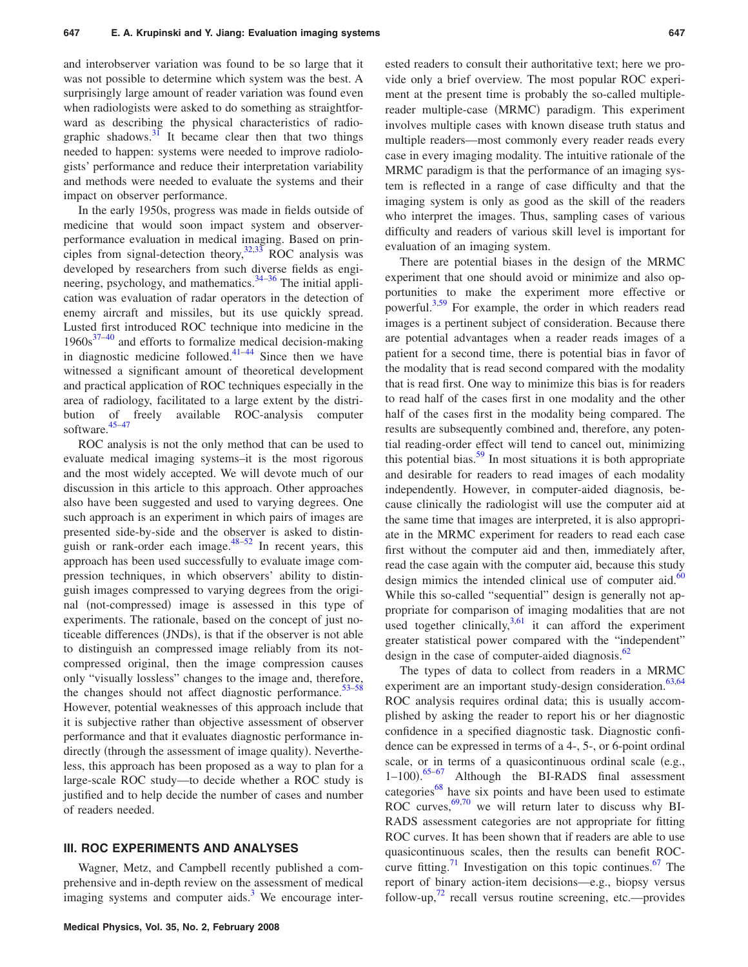and interobserver variation was found to be so large that it was not possible to determine which system was the best. A surprisingly large amount of reader variation was found even when radiologists were asked to do something as straightforward as describing the physical characteristics of radiographic shadows. $31$  It became clear then that two things needed to happen: systems were needed to improve radiologists' performance and reduce their interpretation variability and methods were needed to evaluate the systems and their impact on observer performance.

In the early 1950s, progress was made in fields outside of medicine that would soon impact system and observerperformance evaluation in medical imaging. Based on principles from signal-detection theory,  $32,33$  ROC analysis was developed by researchers from such diverse fields as engineering, psychology, and mathematics. $34-36$  The initial application was evaluation of radar operators in the detection of enemy aircraft and missiles, but its use quickly spread. Lusted first introduced ROC technique into medicine in the  $1960s^{37-40}$  and efforts to formalize medical decision-making in diagnostic medicine followed. $41-44$  Since then we have witnessed a significant amount of theoretical development and practical application of ROC techniques especially in the area of radiology, facilitated to a large extent by the distribution of freely available ROC-analysis computer software.<sup>45–47</sup>

ROC analysis is not the only method that can be used to evaluate medical imaging systems–it is the most rigorous and the most widely accepted. We will devote much of our discussion in this article to this approach. Other approaches also have been suggested and used to varying degrees. One such approach is an experiment in which pairs of images are presented side-by-side and the observer is asked to distinguish or rank-order each image.<sup>48–52</sup> In recent years, this approach has been used successfully to evaluate image compression techniques, in which observers' ability to distinguish images compressed to varying degrees from the original (not-compressed) image is assessed in this type of experiments. The rationale, based on the concept of just noticeable differences (JNDs), is that if the observer is not able to distinguish an compressed image reliably from its notcompressed original, then the image compression causes only "visually lossless" changes to the image and, therefore, the changes should not affect diagnostic performance. $53-58$ However, potential weaknesses of this approach include that it is subjective rather than objective assessment of observer performance and that it evaluates diagnostic performance indirectly (through the assessment of image quality). Nevertheless, this approach has been proposed as a way to plan for a large-scale ROC study—to decide whether a ROC study is justified and to help decide the number of cases and number of readers needed.

## **III. ROC EXPERIMENTS AND ANALYSES**

Wagner, Metz, and Campbell recently published a comprehensive and in-depth review on the assessment of medical imaging systems and computer aids.<sup>3</sup> We encourage interested readers to consult their authoritative text; here we provide only a brief overview. The most popular ROC experiment at the present time is probably the so-called multiplereader multiple-case (MRMC) paradigm. This experiment involves multiple cases with known disease truth status and multiple readers—most commonly every reader reads every case in every imaging modality. The intuitive rationale of the MRMC paradigm is that the performance of an imaging system is reflected in a range of case difficulty and that the imaging system is only as good as the skill of the readers who interpret the images. Thus, sampling cases of various difficulty and readers of various skill level is important for evaluation of an imaging system.

There are potential biases in the design of the MRMC experiment that one should avoid or minimize and also opportunities to make the experiment more effective or powerful.3,59 For example, the order in which readers read images is a pertinent subject of consideration. Because there are potential advantages when a reader reads images of a patient for a second time, there is potential bias in favor of the modality that is read second compared with the modality that is read first. One way to minimize this bias is for readers to read half of the cases first in one modality and the other half of the cases first in the modality being compared. The results are subsequently combined and, therefore, any potential reading-order effect will tend to cancel out, minimizing this potential bias. $59$  In most situations it is both appropriate and desirable for readers to read images of each modality independently. However, in computer-aided diagnosis, because clinically the radiologist will use the computer aid at the same time that images are interpreted, it is also appropriate in the MRMC experiment for readers to read each case first without the computer aid and then, immediately after, read the case again with the computer aid, because this study design mimics the intended clinical use of computer aid. $\frac{60}{2}$ While this so-called "sequential" design is generally not appropriate for comparison of imaging modalities that are not used together clinically, $3,61$  it can afford the experiment greater statistical power compared with the "independent" design in the case of computer-aided diagnosis. $62$ 

The types of data to collect from readers in a MRMC experiment are an important study-design consideration.<sup>63,64</sup> ROC analysis requires ordinal data; this is usually accomplished by asking the reader to report his or her diagnostic confidence in a specified diagnostic task. Diagnostic confidence can be expressed in terms of a 4-, 5-, or 6-point ordinal scale, or in terms of a quasicontinuous ordinal scale (e.g.,  $1-100$ .<sup>65–67</sup> Although the BI-RADS final assessment categories $^{68}$  have six points and have been used to estimate ROC curves,  $\frac{69,70}{ }$  we will return later to discuss why BI-RADS assessment categories are not appropriate for fitting ROC curves. It has been shown that if readers are able to use quasicontinuous scales, then the results can benefit ROCcurve fitting.<sup>71</sup> Investigation on this topic continues.<sup>67</sup> The report of binary action-item decisions—e.g., biopsy versus follow-up, $^{72}$  recall versus routine screening, etc.—provides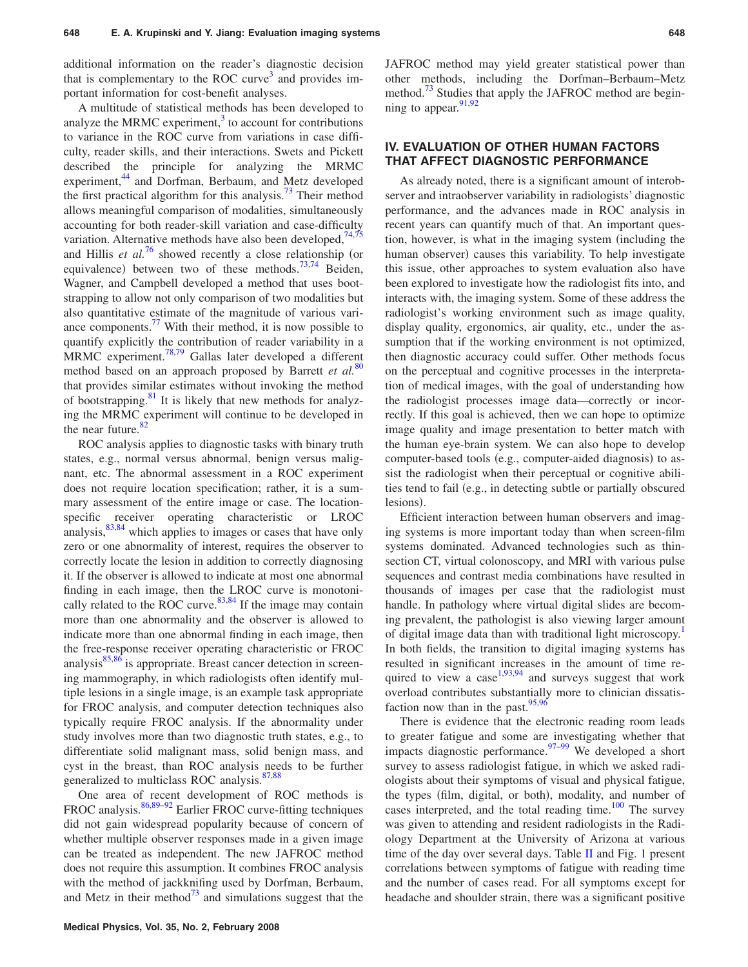additional information on the reader's diagnostic decision that is complementary to the ROC curve<sup>3</sup> and provides important information for cost-benefit analyses.

A multitude of statistical methods has been developed to analyze the MRMC experiment, $3$  to account for contributions to variance in the ROC curve from variations in case difficulty, reader skills, and their interactions. Swets and Pickett described the principle for analyzing the MRMC experiment,<sup>44</sup> and Dorfman, Berbaum, and Metz developed the first practical algorithm for this analysis.<sup>73</sup> Their method allows meaningful comparison of modalities, simultaneously accounting for both reader-skill variation and case-difficulty variation. Alternative methods have also been developed, $74,75$ and Hillis *et al.*<sup>76</sup> showed recently a close relationship (or equivalence) between two of these methods.<sup>73,74</sup> Beiden, Wagner, and Campbell developed a method that uses bootstrapping to allow not only comparison of two modalities but also quantitative estimate of the magnitude of various variance components. $^{77}$  With their method, it is now possible to quantify explicitly the contribution of reader variability in a MRMC experiment.78,79 Gallas later developed a different method based on an approach proposed by Barrett *et al.*<sup>80</sup> that provides similar estimates without invoking the method of bootstrapping.<sup>81</sup> It is likely that new methods for analyzing the MRMC experiment will continue to be developed in the near future. $82$ 

ROC analysis applies to diagnostic tasks with binary truth states, e.g., normal versus abnormal, benign versus malignant, etc. The abnormal assessment in a ROC experiment does not require location specification; rather, it is a summary assessment of the entire image or case. The locationspecific receiver operating characteristic or LROC analysis, $83,84$  which applies to images or cases that have only zero or one abnormality of interest, requires the observer to correctly locate the lesion in addition to correctly diagnosing it. If the observer is allowed to indicate at most one abnormal finding in each image, then the LROC curve is monotonically related to the ROC curve. $83,84$  If the image may contain more than one abnormality and the observer is allowed to indicate more than one abnormal finding in each image, then the free-response receiver operating characteristic or FROC analysis<sup>85,86</sup> is appropriate. Breast cancer detection in screening mammography, in which radiologists often identify multiple lesions in a single image, is an example task appropriate for FROC analysis, and computer detection techniques also typically require FROC analysis. If the abnormality under study involves more than two diagnostic truth states, e.g., to differentiate solid malignant mass, solid benign mass, and cyst in the breast, than ROC analysis needs to be further generalized to multiclass ROC analysis.<sup>87,88</sup>

One area of recent development of ROC methods is FROC analysis.<sup>86,89–92</sup> Earlier FROC curve-fitting techniques did not gain widespread popularity because of concern of whether multiple observer responses made in a given image can be treated as independent. The new JAFROC method does not require this assumption. It combines FROC analysis with the method of jackknifing used by Dorfman, Berbaum, and Metz in their method<sup>73</sup> and simulations suggest that the

JAFROC method may yield greater statistical power than other methods, including the Dorfman–Berbaum–Metz method.<sup>73</sup> Studies that apply the JAFROC method are beginning to appear.  $91,92$ 

### **IV. EVALUATION OF OTHER HUMAN FACTORS THAT AFFECT DIAGNOSTIC PERFORMANCE**

As already noted, there is a significant amount of interobserver and intraobserver variability in radiologists' diagnostic performance, and the advances made in ROC analysis in recent years can quantify much of that. An important question, however, is what in the imaging system (including the human observer) causes this variability. To help investigate this issue, other approaches to system evaluation also have been explored to investigate how the radiologist fits into, and interacts with, the imaging system. Some of these address the radiologist's working environment such as image quality, display quality, ergonomics, air quality, etc., under the assumption that if the working environment is not optimized, then diagnostic accuracy could suffer. Other methods focus on the perceptual and cognitive processes in the interpretation of medical images, with the goal of understanding how the radiologist processes image data—correctly or incorrectly. If this goal is achieved, then we can hope to optimize image quality and image presentation to better match with the human eye-brain system. We can also hope to develop computer-based tools (e.g., computer-aided diagnosis) to assist the radiologist when their perceptual or cognitive abilities tend to fail (e.g., in detecting subtle or partially obscured lesions).

Efficient interaction between human observers and imaging systems is more important today than when screen-film systems dominated. Advanced technologies such as thinsection CT, virtual colonoscopy, and MRI with various pulse sequences and contrast media combinations have resulted in thousands of images per case that the radiologist must handle. In pathology where virtual digital slides are becoming prevalent, the pathologist is also viewing larger amount of digital image data than with traditional light microscopy.<sup>1</sup> In both fields, the transition to digital imaging systems has resulted in significant increases in the amount of time required to view a case  $1,93,94$  and surveys suggest that work overload contributes substantially more to clinician dissatisfaction now than in the past.  $95,96$ 

There is evidence that the electronic reading room leads to greater fatigue and some are investigating whether that impacts diagnostic performance. $97-99$  We developed a short survey to assess radiologist fatigue, in which we asked radiologists about their symptoms of visual and physical fatigue, the types (film, digital, or both), modality, and number of cases interpreted, and the total reading time. $100$  The survey was given to attending and resident radiologists in the Radiology Department at the University of Arizona at various time of the day over several days. Table  $II$  and Fig. 1 present correlations between symptoms of fatigue with reading time and the number of cases read. For all symptoms except for headache and shoulder strain, there was a significant positive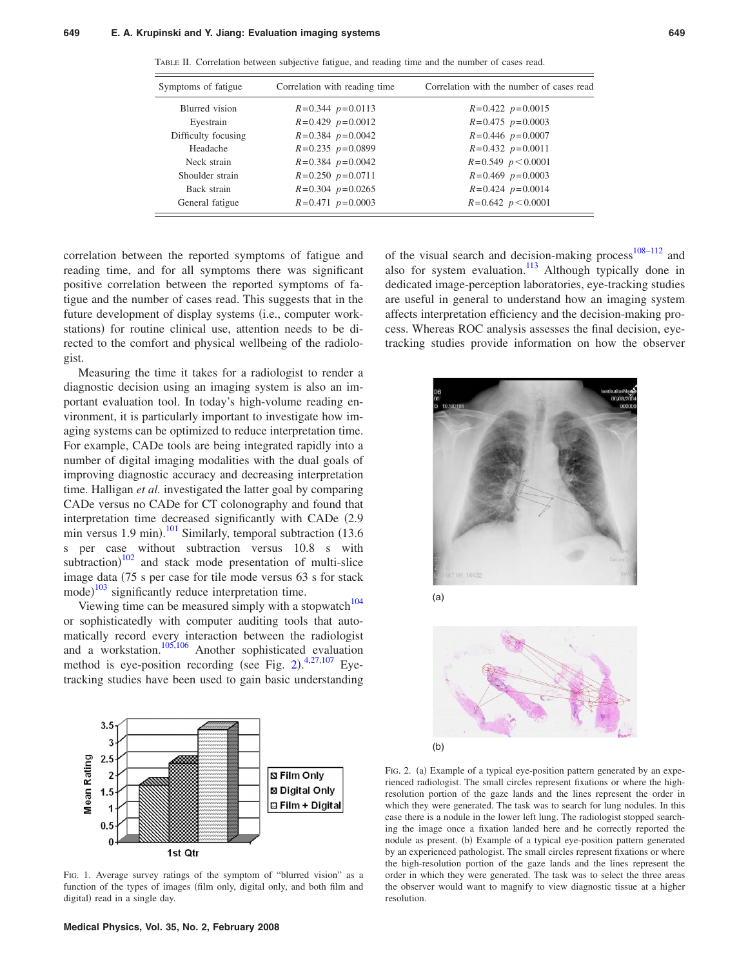| Symptoms of fatigue | Correlation with reading time | Correlation with the number of cases read |
|---------------------|-------------------------------|-------------------------------------------|
| Blurred vision      | $R=0.344$ $p=0.0113$          | $R=0.422 p=0.0015$                        |
| Eyestrain           | $R=0.429$ $p=0.0012$          | $R=0.475$ $p=0.0003$                      |
| Difficulty focusing | $R=0.384$ $p=0.0042$          | $R=0.446$ $p=0.0007$                      |
| Headache            | $R=0.235$ $p=0.0899$          | $R=0.432 p=0.0011$                        |
| Neck strain         | $R=0.384$ $p=0.0042$          | $R=0.549$ $p < 0.0001$                    |
| Shoulder strain     | $R=0.250$ $p=0.0711$          | $R=0.469$ $p=0.0003$                      |
| Back strain         | $R=0.304$ $p=0.0265$          | $R=0.424$ $p=0.0014$                      |
| General fatigue     | $R=0.471$ $p=0.0003$          | $R=0.642 p < 0.0001$                      |

TABLE II. Correlation between subjective fatigue, and reading time and the number of cases read.

correlation between the reported symptoms of fatigue and reading time, and for all symptoms there was significant positive correlation between the reported symptoms of fatigue and the number of cases read. This suggests that in the future development of display systems (i.e., computer workstations) for routine clinical use, attention needs to be directed to the comfort and physical wellbeing of the radiologist.

Measuring the time it takes for a radiologist to render a diagnostic decision using an imaging system is also an important evaluation tool. In today's high-volume reading environment, it is particularly important to investigate how imaging systems can be optimized to reduce interpretation time. For example, CADe tools are being integrated rapidly into a number of digital imaging modalities with the dual goals of improving diagnostic accuracy and decreasing interpretation time. Halligan *et al.* investigated the latter goal by comparing CADe versus no CADe for CT colonography and found that interpretation time decreased significantly with CADe  $(2.9)$ min versus 1.9 min).<sup>101</sup> Similarly, temporal subtraction  $(13.6$ s per case without subtraction versus 10.8 s with subtraction) $102$  and stack mode presentation of multi-slice image data 75 s per case for tile mode versus 63 s for stack mode)<sup>103</sup> significantly reduce interpretation time.

Viewing time can be measured simply with a stopwatch<sup>104</sup> or sophisticatedly with computer auditing tools that automatically record every interaction between the radiologist and a workstation.<sup>105,106</sup> Another sophisticated evaluation method is eye-position recording (see Fig. 2). $4,27,107$  Eyetracking studies have been used to gain basic understanding



FIG. 1. Average survey ratings of the symptom of "blurred vision" as a function of the types of images (film only, digital only, and both film and digital) read in a single day.

of the visual search and decision-making process<sup>108–112</sup> and also for system evaluation.<sup>113</sup> Although typically done in dedicated image-perception laboratories, eye-tracking studies are useful in general to understand how an imaging system affects interpretation efficiency and the decision-making process. Whereas ROC analysis assesses the final decision, eyetracking studies provide information on how the observer







FIG. 2. (a) Example of a typical eye-position pattern generated by an experienced radiologist. The small circles represent fixations or where the highresolution portion of the gaze lands and the lines represent the order in which they were generated. The task was to search for lung nodules. In this case there is a nodule in the lower left lung. The radiologist stopped searching the image once a fixation landed here and he correctly reported the nodule as present. (b) Example of a typical eye-position pattern generated by an experienced pathologist. The small circles represent fixations or where the high-resolution portion of the gaze lands and the lines represent the order in which they were generated. The task was to select the three areas the observer would want to magnify to view diagnostic tissue at a higher resolution.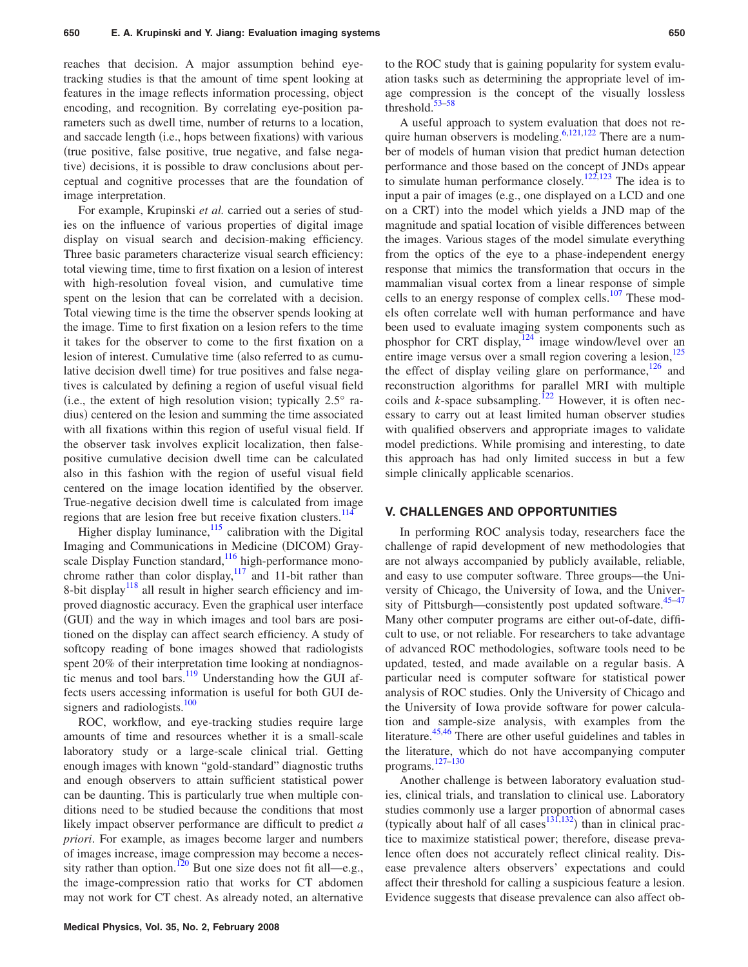reaches that decision. A major assumption behind eyetracking studies is that the amount of time spent looking at features in the image reflects information processing, object encoding, and recognition. By correlating eye-position parameters such as dwell time, number of returns to a location, and saccade length (i.e., hops between fixations) with various true positive, false positive, true negative, and false negative) decisions, it is possible to draw conclusions about perceptual and cognitive processes that are the foundation of image interpretation.

For example, Krupinski *et al.* carried out a series of studies on the influence of various properties of digital image display on visual search and decision-making efficiency. Three basic parameters characterize visual search efficiency: total viewing time, time to first fixation on a lesion of interest with high-resolution foveal vision, and cumulative time spent on the lesion that can be correlated with a decision. Total viewing time is the time the observer spends looking at the image. Time to first fixation on a lesion refers to the time it takes for the observer to come to the first fixation on a lesion of interest. Cumulative time (also referred to as cumulative decision dwell time) for true positives and false negatives is calculated by defining a region of useful visual field (i.e., the extent of high resolution vision; typically  $2.5^\circ$  radius) centered on the lesion and summing the time associated with all fixations within this region of useful visual field. If the observer task involves explicit localization, then falsepositive cumulative decision dwell time can be calculated also in this fashion with the region of useful visual field centered on the image location identified by the observer. True-negative decision dwell time is calculated from image regions that are lesion free but receive fixation clusters.<sup>114</sup>

Higher display luminance, $115$  calibration with the Digital Imaging and Communications in Medicine (DICOM) Grayscale Display Function standard,<sup>116</sup> high-performance monochrome rather than color display, $117$  and 11-bit rather than 8-bit display<sup>118</sup> all result in higher search efficiency and improved diagnostic accuracy. Even the graphical user interface (GUI) and the way in which images and tool bars are positioned on the display can affect search efficiency. A study of softcopy reading of bone images showed that radiologists spent 20*%* of their interpretation time looking at nondiagnostic menus and tool bars. $\frac{119}{119}$  Understanding how the GUI affects users accessing information is useful for both GUI designers and radiologists. $100$ 

ROC, workflow, and eye-tracking studies require large amounts of time and resources whether it is a small-scale laboratory study or a large-scale clinical trial. Getting enough images with known "gold-standard" diagnostic truths and enough observers to attain sufficient statistical power can be daunting. This is particularly true when multiple conditions need to be studied because the conditions that most likely impact observer performance are difficult to predict *a priori*. For example, as images become larger and numbers of images increase, image compression may become a necessity rather than option.<sup>120</sup> But one size does not fit all—e.g., the image-compression ratio that works for CT abdomen may not work for CT chest. As already noted, an alternative

to the ROC study that is gaining popularity for system evaluation tasks such as determining the appropriate level of image compression is the concept of the visually lossless threshold. $53-58$ 

A useful approach to system evaluation that does not require human observers is modeling.  $6,121,122$  There are a number of models of human vision that predict human detection performance and those based on the concept of JNDs appear to simulate human performance closely.<sup>122,123</sup> The idea is to input a pair of images (e.g., one displayed on a LCD and one on a CRT) into the model which yields a JND map of the magnitude and spatial location of visible differences between the images. Various stages of the model simulate everything from the optics of the eye to a phase-independent energy response that mimics the transformation that occurs in the mammalian visual cortex from a linear response of simple cells to an energy response of complex cells. $107$  These models often correlate well with human performance and have been used to evaluate imaging system components such as phosphor for CRT display,<sup>124</sup> image window/level over an entire image versus over a small region covering a lesion,<sup>1</sup> the effect of display veiling glare on performance,  $126$  and reconstruction algorithms for parallel MRI with multiple coils and  $k$ -space subsampling.<sup>122</sup> However, it is often necessary to carry out at least limited human observer studies with qualified observers and appropriate images to validate model predictions. While promising and interesting, to date this approach has had only limited success in but a few simple clinically applicable scenarios.

### **V. CHALLENGES AND OPPORTUNITIES**

In performing ROC analysis today, researchers face the challenge of rapid development of new methodologies that are not always accompanied by publicly available, reliable, and easy to use computer software. Three groups—the University of Chicago, the University of Iowa, and the University of Pittsburgh—consistently post updated software. $45-47$ Many other computer programs are either out-of-date, difficult to use, or not reliable. For researchers to take advantage of advanced ROC methodologies, software tools need to be updated, tested, and made available on a regular basis. A particular need is computer software for statistical power analysis of ROC studies. Only the University of Chicago and the University of Iowa provide software for power calculation and sample-size analysis, with examples from the literature.<sup>45,46</sup> There are other useful guidelines and tables in the literature, which do not have accompanying computer programs. 127–130

Another challenge is between laboratory evaluation studies, clinical trials, and translation to clinical use. Laboratory studies commonly use a larger proportion of abnormal cases (typically about half of all cases  $(131,132)$  than in clinical practice to maximize statistical power; therefore, disease prevalence often does not accurately reflect clinical reality. Disease prevalence alters observers' expectations and could affect their threshold for calling a suspicious feature a lesion. Evidence suggests that disease prevalence can also affect ob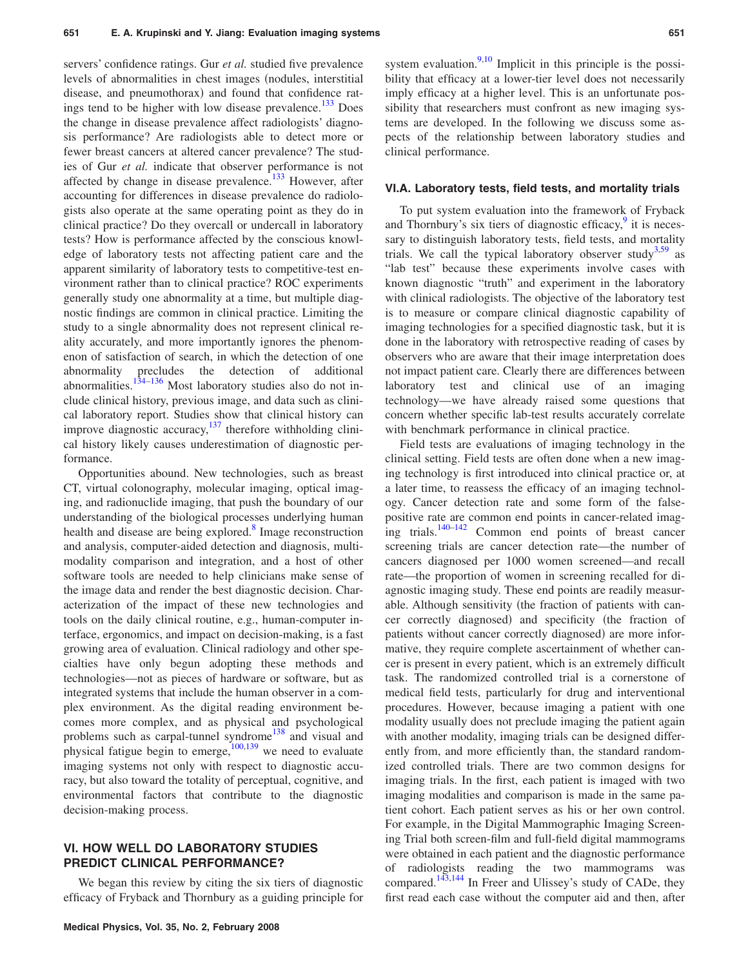servers' confidence ratings. Gur *et al.* studied five prevalence levels of abnormalities in chest images (nodules, interstitial disease, and pneumothorax) and found that confidence ratings tend to be higher with low disease prevalence.<sup>133</sup> Does the change in disease prevalence affect radiologists' diagnosis performance? Are radiologists able to detect more or fewer breast cancers at altered cancer prevalence? The studies of Gur *et al.* indicate that observer performance is not affected by change in disease prevalence. $133$  However, after accounting for differences in disease prevalence do radiologists also operate at the same operating point as they do in clinical practice? Do they overcall or undercall in laboratory tests? How is performance affected by the conscious knowledge of laboratory tests not affecting patient care and the apparent similarity of laboratory tests to competitive-test environment rather than to clinical practice? ROC experiments generally study one abnormality at a time, but multiple diagnostic findings are common in clinical practice. Limiting the study to a single abnormality does not represent clinical reality accurately, and more importantly ignores the phenomenon of satisfaction of search, in which the detection of one abnormality precludes the detection of additional abnormalities.<sup>134–136</sup> Most laboratory studies also do not include clinical history, previous image, and data such as clinical laboratory report. Studies show that clinical history can improve diagnostic accuracy,  $137$  therefore withholding clinical history likely causes underestimation of diagnostic performance.

Opportunities abound. New technologies, such as breast CT, virtual colonography, molecular imaging, optical imaging, and radionuclide imaging, that push the boundary of our understanding of the biological processes underlying human health and disease are being explored. $\delta$  Image reconstruction and analysis, computer-aided detection and diagnosis, multimodality comparison and integration, and a host of other software tools are needed to help clinicians make sense of the image data and render the best diagnostic decision. Characterization of the impact of these new technologies and tools on the daily clinical routine, e.g., human-computer interface, ergonomics, and impact on decision-making, is a fast growing area of evaluation. Clinical radiology and other specialties have only begun adopting these methods and technologies—not as pieces of hardware or software, but as integrated systems that include the human observer in a complex environment. As the digital reading environment becomes more complex, and as physical and psychological problems such as carpal-tunnel syndrome<sup>138</sup> and visual and physical fatigue begin to emerge, $100,139$  we need to evaluate imaging systems not only with respect to diagnostic accuracy, but also toward the totality of perceptual, cognitive, and environmental factors that contribute to the diagnostic decision-making process.

### **VI. HOW WELL DO LABORATORY STUDIES PREDICT CLINICAL PERFORMANCE?**

We began this review by citing the six tiers of diagnostic efficacy of Fryback and Thornbury as a guiding principle for system evaluation. $9,10$  Implicit in this principle is the possibility that efficacy at a lower-tier level does not necessarily imply efficacy at a higher level. This is an unfortunate possibility that researchers must confront as new imaging systems are developed. In the following we discuss some aspects of the relationship between laboratory studies and clinical performance.

#### **VI.A. Laboratory tests, field tests, and mortality trials**

To put system evaluation into the framework of Fryback and Thornbury's six tiers of diagnostic efficacy, $\frac{9}{3}$  it is necessary to distinguish laboratory tests, field tests, and mortality trials. We call the typical laboratory observer study<sup>3,59</sup> as "lab test" because these experiments involve cases with known diagnostic "truth" and experiment in the laboratory with clinical radiologists. The objective of the laboratory test is to measure or compare clinical diagnostic capability of imaging technologies for a specified diagnostic task, but it is done in the laboratory with retrospective reading of cases by observers who are aware that their image interpretation does not impact patient care. Clearly there are differences between laboratory test and clinical use of an imaging technology—we have already raised some questions that concern whether specific lab-test results accurately correlate with benchmark performance in clinical practice.

Field tests are evaluations of imaging technology in the clinical setting. Field tests are often done when a new imaging technology is first introduced into clinical practice or, at a later time, to reassess the efficacy of an imaging technology. Cancer detection rate and some form of the falsepositive rate are common end points in cancer-related imaging trials.140–142 Common end points of breast cancer screening trials are cancer detection rate—the number of cancers diagnosed per 1000 women screened—and recall rate—the proportion of women in screening recalled for diagnostic imaging study. These end points are readily measurable. Although sensitivity (the fraction of patients with cancer correctly diagnosed) and specificity (the fraction of patients without cancer correctly diagnosed) are more informative, they require complete ascertainment of whether cancer is present in every patient, which is an extremely difficult task. The randomized controlled trial is a cornerstone of medical field tests, particularly for drug and interventional procedures. However, because imaging a patient with one modality usually does not preclude imaging the patient again with another modality, imaging trials can be designed differently from, and more efficiently than, the standard randomized controlled trials. There are two common designs for imaging trials. In the first, each patient is imaged with two imaging modalities and comparison is made in the same patient cohort. Each patient serves as his or her own control. For example, in the Digital Mammographic Imaging Screening Trial both screen-film and full-field digital mammograms were obtained in each patient and the diagnostic performance of radiologists reading the two mammograms was compared.143,144 In Freer and Ulissey's study of CADe, they first read each case without the computer aid and then, after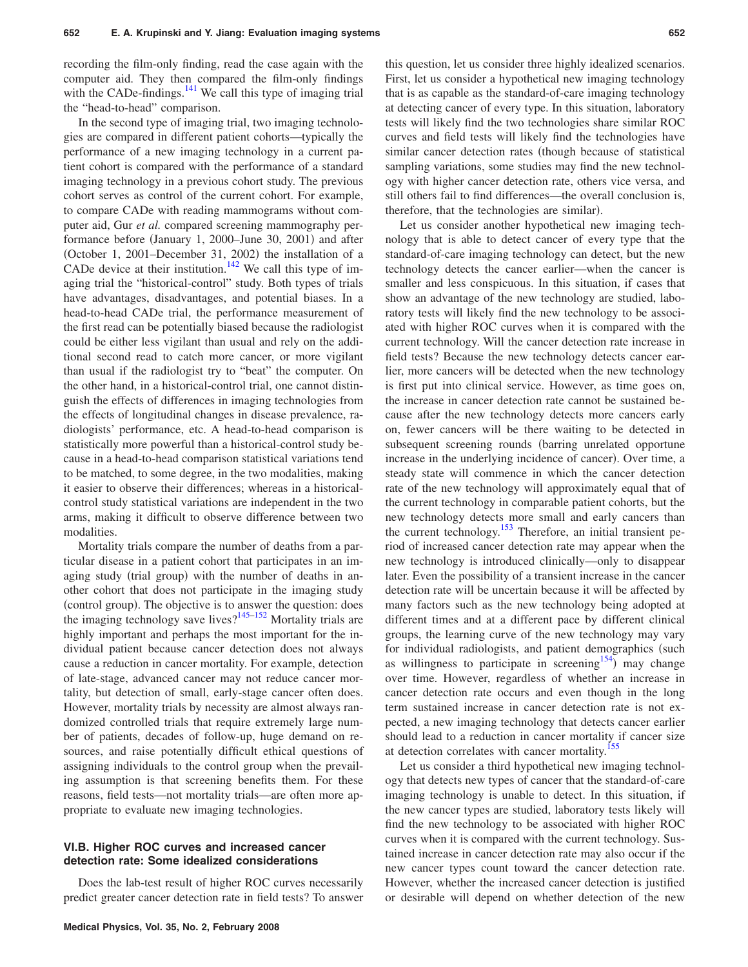recording the film-only finding, read the case again with the computer aid. They then compared the film-only findings with the CADe-findings. $141$  We call this type of imaging trial the "head-to-head" comparison.

In the second type of imaging trial, two imaging technologies are compared in different patient cohorts—typically the performance of a new imaging technology in a current patient cohort is compared with the performance of a standard imaging technology in a previous cohort study. The previous cohort serves as control of the current cohort. For example, to compare CADe with reading mammograms without computer aid, Gur *et al.* compared screening mammography performance before (January 1, 2000–June 30, 2001) and after (October 1, 2001–December 31, 2002) the installation of a CADe device at their institution.<sup>142</sup> We call this type of imaging trial the "historical-control" study. Both types of trials have advantages, disadvantages, and potential biases. In a head-to-head CADe trial, the performance measurement of the first read can be potentially biased because the radiologist could be either less vigilant than usual and rely on the additional second read to catch more cancer, or more vigilant than usual if the radiologist try to "beat" the computer. On the other hand, in a historical-control trial, one cannot distinguish the effects of differences in imaging technologies from the effects of longitudinal changes in disease prevalence, radiologists' performance, etc. A head-to-head comparison is statistically more powerful than a historical-control study because in a head-to-head comparison statistical variations tend to be matched, to some degree, in the two modalities, making it easier to observe their differences; whereas in a historicalcontrol study statistical variations are independent in the two arms, making it difficult to observe difference between two modalities.

Mortality trials compare the number of deaths from a particular disease in a patient cohort that participates in an imaging study (trial group) with the number of deaths in another cohort that does not participate in the imaging study (control group). The objective is to answer the question: does the imaging technology save lives? $145-152$  Mortality trials are highly important and perhaps the most important for the individual patient because cancer detection does not always cause a reduction in cancer mortality. For example, detection of late-stage, advanced cancer may not reduce cancer mortality, but detection of small, early-stage cancer often does. However, mortality trials by necessity are almost always randomized controlled trials that require extremely large number of patients, decades of follow-up, huge demand on resources, and raise potentially difficult ethical questions of assigning individuals to the control group when the prevailing assumption is that screening benefits them. For these reasons, field tests—not mortality trials—are often more appropriate to evaluate new imaging technologies.

#### **VI.B. Higher ROC curves and increased cancer detection rate: Some idealized considerations**

Does the lab-test result of higher ROC curves necessarily predict greater cancer detection rate in field tests? To answer this question, let us consider three highly idealized scenarios. First, let us consider a hypothetical new imaging technology that is as capable as the standard-of-care imaging technology at detecting cancer of every type. In this situation, laboratory tests will likely find the two technologies share similar ROC curves and field tests will likely find the technologies have similar cancer detection rates (though because of statistical sampling variations, some studies may find the new technology with higher cancer detection rate, others vice versa, and still others fail to find differences—the overall conclusion is, therefore, that the technologies are similar).

Let us consider another hypothetical new imaging technology that is able to detect cancer of every type that the standard-of-care imaging technology can detect, but the new technology detects the cancer earlier—when the cancer is smaller and less conspicuous. In this situation, if cases that show an advantage of the new technology are studied, laboratory tests will likely find the new technology to be associated with higher ROC curves when it is compared with the current technology. Will the cancer detection rate increase in field tests? Because the new technology detects cancer earlier, more cancers will be detected when the new technology is first put into clinical service. However, as time goes on, the increase in cancer detection rate cannot be sustained because after the new technology detects more cancers early on, fewer cancers will be there waiting to be detected in subsequent screening rounds (barring unrelated opportune increase in the underlying incidence of cancer). Over time, a steady state will commence in which the cancer detection rate of the new technology will approximately equal that of the current technology in comparable patient cohorts, but the new technology detects more small and early cancers than the current technology.<sup>153</sup> Therefore, an initial transient period of increased cancer detection rate may appear when the new technology is introduced clinically—only to disappear later. Even the possibility of a transient increase in the cancer detection rate will be uncertain because it will be affected by many factors such as the new technology being adopted at different times and at a different pace by different clinical groups, the learning curve of the new technology may vary for individual radiologists, and patient demographics (such as willingness to participate in screening<sup>154</sup>) may change over time. However, regardless of whether an increase in cancer detection rate occurs and even though in the long term sustained increase in cancer detection rate is not expected, a new imaging technology that detects cancer earlier should lead to a reduction in cancer mortality if cancer size at detection correlates with cancer mortality.<sup>155</sup>

Let us consider a third hypothetical new imaging technology that detects new types of cancer that the standard-of-care imaging technology is unable to detect. In this situation, if the new cancer types are studied, laboratory tests likely will find the new technology to be associated with higher ROC curves when it is compared with the current technology. Sustained increase in cancer detection rate may also occur if the new cancer types count toward the cancer detection rate. However, whether the increased cancer detection is justified or desirable will depend on whether detection of the new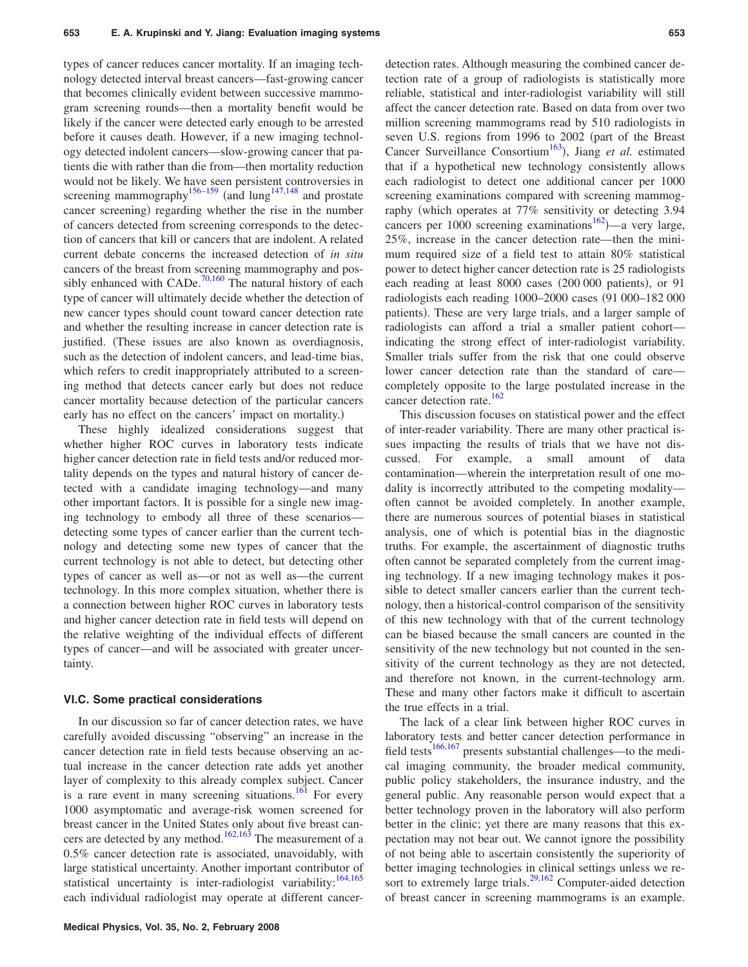types of cancer reduces cancer mortality. If an imaging technology detected interval breast cancers—fast-growing cancer that becomes clinically evident between successive mammogram screening rounds—then a mortality benefit would be likely if the cancer were detected early enough to be arrested before it causes death. However, if a new imaging technology detected indolent cancers—slow-growing cancer that patients die with rather than die from—then mortality reduction would not be likely. We have seen persistent controversies in screening mammography<sup>156–159</sup> (and lung<sup>147,148</sup> and prostate cancer screening) regarding whether the rise in the number of cancers detected from screening corresponds to the detection of cancers that kill or cancers that are indolent. A related current debate concerns the increased detection of *in situ* cancers of the breast from screening mammography and possibly enhanced with CADe.<sup>70,160</sup> The natural history of each type of cancer will ultimately decide whether the detection of new cancer types should count toward cancer detection rate and whether the resulting increase in cancer detection rate is justified. These issues are also known as overdiagnosis, such as the detection of indolent cancers, and lead-time bias, which refers to credit inappropriately attributed to a screening method that detects cancer early but does not reduce cancer mortality because detection of the particular cancers early has no effect on the cancers' impact on mortality.)

These highly idealized considerations suggest that whether higher ROC curves in laboratory tests indicate higher cancer detection rate in field tests and/or reduced mortality depends on the types and natural history of cancer detected with a candidate imaging technology—and many other important factors. It is possible for a single new imaging technology to embody all three of these scenarios detecting some types of cancer earlier than the current technology and detecting some new types of cancer that the current technology is not able to detect, but detecting other types of cancer as well as—or not as well as—the current technology. In this more complex situation, whether there is a connection between higher ROC curves in laboratory tests and higher cancer detection rate in field tests will depend on the relative weighting of the individual effects of different types of cancer—and will be associated with greater uncertainty.

#### **VI.C. Some practical considerations**

In our discussion so far of cancer detection rates, we have carefully avoided discussing "observing" an increase in the cancer detection rate in field tests because observing an actual increase in the cancer detection rate adds yet another layer of complexity to this already complex subject. Cancer is a rare event in many screening situations.<sup>161</sup> For every 1000 asymptomatic and average-risk women screened for breast cancer in the United States only about five breast cancers are detected by any method. $162,163$  The measurement of a 0.5*%* cancer detection rate is associated, unavoidably, with large statistical uncertainty. Another important contributor of statistical uncertainty is inter-radiologist variability:<sup>164,165</sup> each individual radiologist may operate at different cancerdetection rates. Although measuring the combined cancer detection rate of a group of radiologists is statistically more reliable, statistical and inter-radiologist variability will still affect the cancer detection rate. Based on data from over two million screening mammograms read by 510 radiologists in seven U.S. regions from 1996 to 2002 (part of the Breast Cancer Surveillance Consortium<sup>163</sup>), Jiang et al. estimated that if a hypothetical new technology consistently allows each radiologist to detect one additional cancer per 1000 screening examinations compared with screening mammography (which operates at 77% sensitivity or detecting 3.94 cancers per 1000 screening examinations<sup>162</sup> $)$ —a very large, 25*%*, increase in the cancer detection rate—then the minimum required size of a field test to attain 80*%* statistical power to detect higher cancer detection rate is 25 radiologists each reading at least 8000 cases (200 000 patients), or 91 radiologists each reading 1000–2000 cases 91 000–182 000 patients). These are very large trials, and a larger sample of radiologists can afford a trial a smaller patient cohort indicating the strong effect of inter-radiologist variability. Smaller trials suffer from the risk that one could observe lower cancer detection rate than the standard of care completely opposite to the large postulated increase in the cancer detection rate.<sup>162</sup>

This discussion focuses on statistical power and the effect of inter-reader variability. There are many other practical issues impacting the results of trials that we have not discussed. For example, a small amount of data contamination—wherein the interpretation result of one modality is incorrectly attributed to the competing modality often cannot be avoided completely. In another example, there are numerous sources of potential biases in statistical analysis, one of which is potential bias in the diagnostic truths. For example, the ascertainment of diagnostic truths often cannot be separated completely from the current imaging technology. If a new imaging technology makes it possible to detect smaller cancers earlier than the current technology, then a historical-control comparison of the sensitivity of this new technology with that of the current technology can be biased because the small cancers are counted in the sensitivity of the new technology but not counted in the sensitivity of the current technology as they are not detected, and therefore not known, in the current-technology arm. These and many other factors make it difficult to ascertain the true effects in a trial.

The lack of a clear link between higher ROC curves in laboratory tests and better cancer detection performance in field tests<sup>166,167</sup> presents substantial challenges—to the medical imaging community, the broader medical community, public policy stakeholders, the insurance industry, and the general public. Any reasonable person would expect that a better technology proven in the laboratory will also perform better in the clinic; yet there are many reasons that this expectation may not bear out. We cannot ignore the possibility of not being able to ascertain consistently the superiority of better imaging technologies in clinical settings unless we resort to extremely large trials.<sup>29,162</sup> Computer-aided detection of breast cancer in screening mammograms is an example.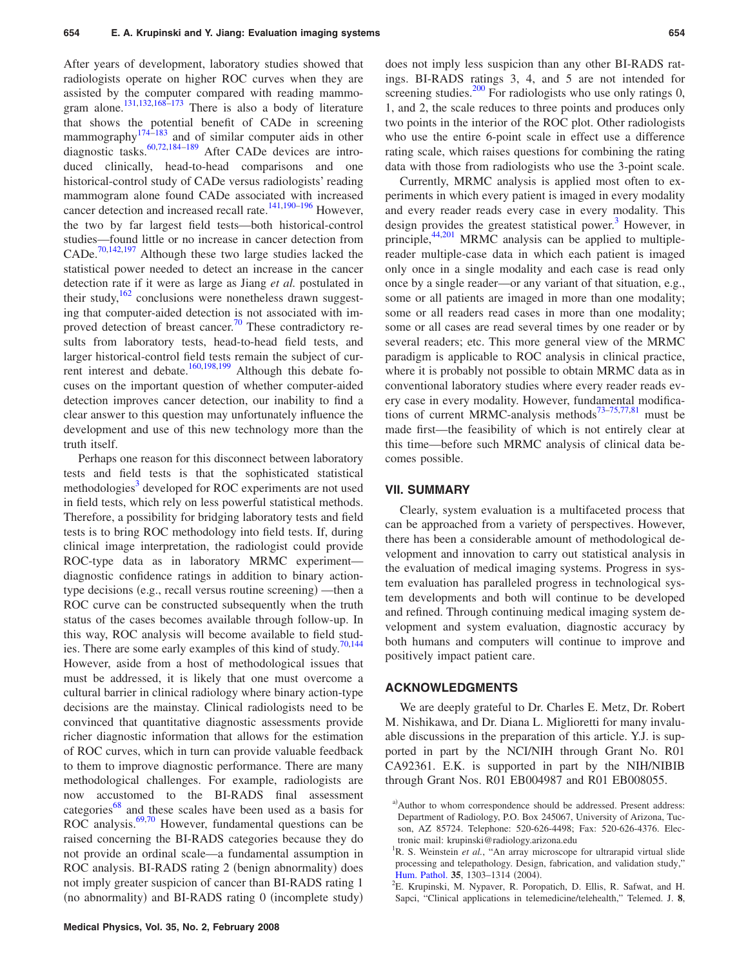After years of development, laboratory studies showed that radiologists operate on higher ROC curves when they are assisted by the computer compared with reading mammogram alone.131,132,168–173 There is also a body of literature that shows the potential benefit of CADe in screening mammography<sup>174–183</sup> and of similar computer aids in other diagnostic tasks.<sup>60,72,184–189</sup> After CADe devices are introduced clinically, head-to-head comparisons and one historical-control study of CADe versus radiologists' reading mammogram alone found CADe associated with increased cancer detection and increased recall rate.<sup>141,190-196</sup> However, the two by far largest field tests—both historical-control studies—found little or no increase in cancer detection from CADe.<sup>70,142,197</sup> Although these two large studies lacked the statistical power needed to detect an increase in the cancer detection rate if it were as large as Jiang *et al.* postulated in their study,  $\frac{162}{2}$  conclusions were nonetheless drawn suggesting that computer-aided detection is not associated with improved detection of breast cancer.<sup>70</sup> These contradictory results from laboratory tests, head-to-head field tests, and larger historical-control field tests remain the subject of current interest and debate.<sup>160,198,199</sup> Although this debate focuses on the important question of whether computer-aided detection improves cancer detection, our inability to find a clear answer to this question may unfortunately influence the development and use of this new technology more than the truth itself.

Perhaps one reason for this disconnect between laboratory tests and field tests is that the sophisticated statistical methodologies<sup>3</sup> developed for ROC experiments are not used in field tests, which rely on less powerful statistical methods. Therefore, a possibility for bridging laboratory tests and field tests is to bring ROC methodology into field tests. If, during clinical image interpretation, the radiologist could provide ROC-type data as in laboratory MRMC experiment diagnostic confidence ratings in addition to binary actiontype decisions (e.g., recall versus routine screening) —then a ROC curve can be constructed subsequently when the truth status of the cases becomes available through follow-up. In this way, ROC analysis will become available to field studies. There are some early examples of this kind of study.<sup>70,144</sup> However, aside from a host of methodological issues that must be addressed, it is likely that one must overcome a cultural barrier in clinical radiology where binary action-type decisions are the mainstay. Clinical radiologists need to be convinced that quantitative diagnostic assessments provide richer diagnostic information that allows for the estimation of ROC curves, which in turn can provide valuable feedback to them to improve diagnostic performance. There are many methodological challenges. For example, radiologists are now accustomed to the BI-RADS final assessment categories<sup>68</sup> and these scales have been used as a basis for ROC analysis. $69,70$  However, fundamental questions can be raised concerning the BI-RADS categories because they do not provide an ordinal scale—a fundamental assumption in ROC analysis. BI-RADS rating 2 (benign abnormality) does not imply greater suspicion of cancer than BI-RADS rating 1 (no abnormality) and BI-RADS rating 0 (incomplete study)

does not imply less suspicion than any other BI-RADS ratings. BI-RADS ratings 3, 4, and 5 are not intended for screening studies. $200$  For radiologists who use only ratings 0, 1, and 2, the scale reduces to three points and produces only two points in the interior of the ROC plot. Other radiologists who use the entire 6-point scale in effect use a difference rating scale, which raises questions for combining the rating data with those from radiologists who use the 3-point scale.

Currently, MRMC analysis is applied most often to experiments in which every patient is imaged in every modality and every reader reads every case in every modality. This design provides the greatest statistical power.<sup>3</sup> However, in principle, $44,201$  MRMC analysis can be applied to multiplereader multiple-case data in which each patient is imaged only once in a single modality and each case is read only once by a single reader—or any variant of that situation, e.g., some or all patients are imaged in more than one modality; some or all readers read cases in more than one modality; some or all cases are read several times by one reader or by several readers; etc. This more general view of the MRMC paradigm is applicable to ROC analysis in clinical practice, where it is probably not possible to obtain MRMC data as in conventional laboratory studies where every reader reads every case in every modality. However, fundamental modifications of current MRMC-analysis methods<sup>73–75,77,81</sup> must be made first—the feasibility of which is not entirely clear at this time—before such MRMC analysis of clinical data becomes possible.

#### **VII. SUMMARY**

Clearly, system evaluation is a multifaceted process that can be approached from a variety of perspectives. However, there has been a considerable amount of methodological development and innovation to carry out statistical analysis in the evaluation of medical imaging systems. Progress in system evaluation has paralleled progress in technological system developments and both will continue to be developed and refined. Through continuing medical imaging system development and system evaluation, diagnostic accuracy by both humans and computers will continue to improve and positively impact patient care.

#### **ACKNOWLEDGMENTS**

We are deeply grateful to Dr. Charles E. Metz, Dr. Robert M. Nishikawa, and Dr. Diana L. Miglioretti for many invaluable discussions in the preparation of this article. Y.J. is supported in part by the NCI/NIH through Grant No. R01 CA92361. E.K. is supported in part by the NIH/NIBIB through Grant Nos. R01 EB004987 and R01 EB008055.

a)Author to whom correspondence should be addressed. Present address: Department of Radiology, P.O. Box 245067, University of Arizona, Tucson, AZ 85724. Telephone: 520-626-4498; Fax: 520-626-4376. Electronic mail: krupinski@radiology.arizona.edu

<sup>&</sup>lt;sup>1</sup>R. S. Weinstein et al., "An array microscope for ultrarapid virtual slide processing and telepathology. Design, fabrication, and validation study,' [Hum. Pathol.](http://dx.doi.org/10.1016/j.humpath.2004.09.002) **35**, 1303–1314 (2004).

<sup>&</sup>lt;sup>2</sup>E. Krupinski, M. Nypaver, R. Poropatich, D. Ellis, R. Safwat, and H. Sapci, "Clinical applications in telemedicine/telehealth," Telemed. J. **8**,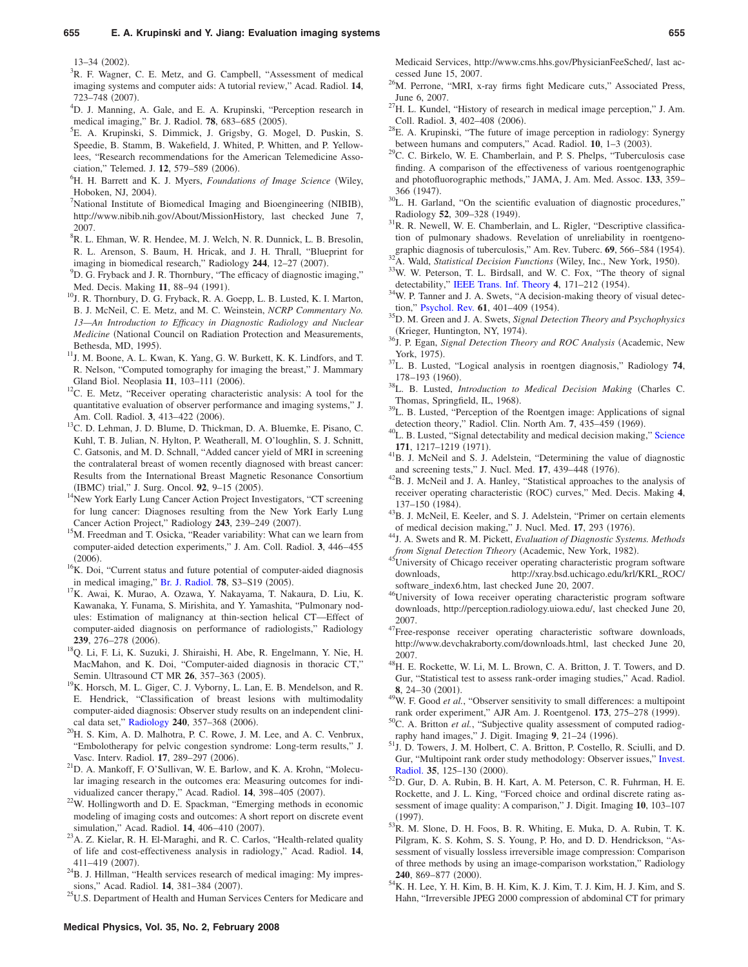$13-34$  (2002).<br> $3_{\text{B}}$  E Wesner

 ${}^{3}R$ . F. Wagner, C. E. Metz, and G. Campbell, "Assessment of medical imaging systems and computer aids: A tutorial review," Acad. Radiol. **14**,  $723-748$  (2007).

<sup>4</sup>D. J. Manning, A. Gale, and E. A. Krupinski, "Perception research in medical imaging," Br. J. Radiol. **78**, 683–685 (2005).

- E. A. Krupinski, S. Dimmick, J. Grigsby, G. Mogel, D. Puskin, S. Speedie, B. Stamm, B. Wakefield, J. Whited, P. Whitten, and P. Yellowlees, "Research recommendations for the American Telemedicine Association," Telemed. J.  $12, 579-589$  (2006).
- <sup>6</sup>H. H. Barrett and K. J. Myers, *Foundations of Image Science* (Wiley, Hoboken, NJ, 2004).

National Institute of Biomedical Imaging and Bioengineering (NIBIB), http://www.nibib.nih.gov/About/MissionHistory, last checked June 7, 2007.

8 R. L. Ehman, W. R. Hendee, M. J. Welch, N. R. Dunnick, L. B. Bresolin, R. L. Arenson, S. Baum, H. Hricak, and J. H. Thrall, "Blueprint for imaging in biomedical research," Radiology  $244$ ,  $12-27$  (2007).

- $^{9}$ D. G. Fryback and J. R. Thornbury, "The efficacy of diagnostic imaging," Med. Decis. Making 11, 88-94 (1991).
- $^{10}$  J. R. Thornbury, D. G. Fryback, R. A. Goepp, L. B. Lusted, K. I. Marton, B. J. McNeil, C. E. Metz, and M. C. Weinstein, *NCRP Commentary No. 13—An Introduction to Efficacy in Diagnostic Radiology and Nuclear Medicine* (National Council on Radiation Protection and Measurements, Bethesda, MD, 1995).
- <sup>11</sup>J. M. Boone, A. L. Kwan, K. Yang, G. W. Burkett, K. K. Lindfors, and T. R. Nelson, "Computed tomography for imaging the breast," J. Mammary Gland Biol. Neoplasia 11, 103-111 (2006).
- $12$ C. E. Metz, "Receiver operating characteristic analysis: A tool for the quantitative evaluation of observer performance and imaging systems," J. Am. Coll. Radiol. 3, 413-422 (2006).
- <sup>13</sup>C. D. Lehman, J. D. Blume, D. Thickman, D. A. Bluemke, E. Pisano, C. Kuhl, T. B. Julian, N. Hylton, P. Weatherall, M. O'loughlin, S. J. Schnitt, C. Gatsonis, and M. D. Schnall, "Added cancer yield of MRI in screening the contralateral breast of women recently diagnosed with breast cancer: Results from the International Breast Magnetic Resonance Consortium (IBMC) trial," J. Surg. Oncol. 92, 9-15 (2005)
- <sup>14</sup>New York Early Lung Cancer Action Project Investigators, "CT screening for lung cancer: Diagnoses resulting from the New York Early Lung Cancer Action Project," Radiology 243, 239-249 (2007).
- <sup>15</sup>M. Freedman and T. Osicka, "Reader variability: What can we learn from computer-aided detection experiments," J. Am. Coll. Radiol. **3**, 446–455  $(2006)$ .
- ${}^{16}$ K. Doi, "Current status and future potential of computer-aided diagnosis in medical imaging," [Br. J. Radiol.](http://dx.doi.org/10.1259/bjr/82933343) 78, S3-S19 (2005).
- <sup>17</sup>K. Awai, K. Murao, A. Ozawa, Y. Nakayama, T. Nakaura, D. Liu, K. Kawanaka, Y. Funama, S. Mirishita, and Y. Yamashita, "Pulmonary nodules: Estimation of malignancy at thin-section helical CT—Effect of computer-aided diagnosis on performance of radiologists," Radiology **239**, 276–278 (2006).
- <sup>18</sup>Q. Li, F. Li, K. Suzuki, J. Shiraishi, H. Abe, R. Engelmann, Y. Nie, H. MacMahon, and K. Doi, "Computer-aided diagnosis in thoracic CT," Semin. Ultrasound CT MR **26**, 357-363 (2005).
- <sup>19</sup>K. Horsch, M. L. Giger, C. J. Vyborny, L. Lan, E. B. Mendelson, and R. E. Hendrick, "Classification of breast lesions with multimodality computer-aided diagnosis: Observer study results on an independent clini-cal data set," [Radiology](http://dx.doi.org/10.1148/radiol.2401050208) 240, 357-368 (2006).
- <sup>20</sup>H. S. Kim, A. D. Malhotra, P. C. Rowe, J. M. Lee, and A. C. Venbrux, "Embolotherapy for pelvic congestion syndrome: Long-term results," J. Vasc. Interv. Radiol. 17, 289-297 (2006).
- <sup>21</sup>D. A. Mankoff, F. O'Sullivan, W. E. Barlow, and K. A. Krohn, "Molecular imaging research in the outcomes era: Measuring outcomes for individualized cancer therapy," Acad. Radiol. 14, 398-405 (2007).
- $22$ W. Hollingworth and D. E. Spackman, "Emerging methods in economic modeling of imaging costs and outcomes: A short report on discrete event simulation," Acad. Radiol. **14**, 406-410 (2007).
- <sup>23</sup>A. Z. Kielar, R. H. El-Maraghi, and R. C. Carlos, "Health-related quality of life and cost-effectiveness analysis in radiology," Acad. Radiol. **14**, 411-419 (2007).
- $24B$ . J. Hillman, "Health services research of medical imaging: My impressions," Acad. Radiol. 14, 381-384 (2007).

<sup>25</sup>U.S. Department of Health and Human Services Centers for Medicare and

Medicaid Services, http://www.cms.hhs.gov/PhysicianFeeSched/, last accessed June 15, 2007.

- <sup>26</sup>M. Perrone, "MRI, x-ray firms fight Medicare cuts," Associated Press, June 6, 2007.
- $^{27}$ H. L. Kundel, "History of research in medical image perception," J. Am. Coll. Radiol. 3, 402-408 (2006).
- $28$ E. A. Krupinski, "The future of image perception in radiology: Synergy between humans and computers," Acad. Radiol. 10, 1-3 (2003).
- $2^9$ C. C. Birkelo, W. E. Chamberlain, and P. S. Phelps, "Tuberculosis case finding. A comparison of the effectiveness of various roentgenographic and photofluorographic methods," JAMA, J. Am. Med. Assoc. **133**, 359– 366 (1947).
- <sup>30</sup>L. H. Garland, "On the scientific evaluation of diagnostic procedures," Radiology 52, 309-328 (1949).
- <sup>31</sup>R. R. Newell, W. E. Chamberlain, and L. Rigler, "Descriptive classification of pulmonary shadows. Revelation of unreliability in roentgenographic diagnosis of tuberculosis," Am. Rev. Tuberc. 69, 566–584 (1954).
- <sup>32</sup>A. Wald, *Statistical Decision Functions* (Wiley, Inc., New York, 1950). <sup>33</sup>W. W. Peterson, T. L. Birdsall, and W. C. Fox, "The theory of signal
- detectability," [IEEE Trans. Inf. Theory](http://dx.doi.org/10.1109/TIT.1954.1057460) 4, 171-212 (1954).
- <sup>34</sup>W. P. Tanner and J. A. Swets, "A decision-making theory of visual detec-tion," [Psychol. Rev.](http://dx.doi.org/10.1037/h0058700) 61, 401-409 (1954).
- . 35D. M. Green and J. A. Swets, *Signal Detection Theory and Psychophysics* (Krieger, Huntington, NY, 1974).
- <sup>36</sup>J. P. Egan, *Signal Detection Theory and ROC Analysis* (Academic, New York, 1975).
- . 37L. B. Lusted, "Logical analysis in roentgen diagnosis," Radiology **<sup>74</sup>**, 178–193 (1960).
- . 38L. B. Lusted, *Introduction to Medical Decision Making* Charles C. Thomas, Springfield, IL, 1968).
- <sup>39</sup>L. B. Lusted, "Perception of the Roentgen image: Applications of signal detection theory," Radiol. Clin. North Am. **7**, 435–459 (1969).
- . 40L. B. Lusted, "Signal detectability and medical decision making," [Science](http://dx.doi.org/10.1126/science.171.3977.1217) **171**, 1217–1219 (1971).
- <sup>41</sup>B. J. McNeil and S. J. Adelstein, "Determining the value of diagnostic and screening tests," J. Nucl. Med. 17, 439-448 (1976).
- $^{42}$ B. J. McNeil and J. A. Hanley, "Statistical approaches to the analysis of receiver operating characteristic (ROC) curves," Med. Decis. Making 4, 137-150 (1984).
- <sup>43</sup>B. J. McNeil, E. Keeler, and S. J. Adelstein, "Primer on certain elements of medical decision making," J. Nucl. Med. 17, 293 (1976).
- . 44J. A. Swets and R. M. Pickett, *Evaluation of Diagnostic Systems. Methods from Signal Detection Ttheory* (Academic, New York, 1982).
- 45University of Chicago receiver operating characteristic program software downloads, http://xray.bsd.uchicago.edu/krl/KRL\_ROC/ software\_index6.htm, last checked June 20, 2007.
- 46University of Iowa receiver operating characteristic program software downloads, http://perception.radiology.uiowa.edu/, last checked June 20, 2007.
- 47Free-response receiver operating characteristic software downloads, http://www.devchakraborty.com/downloads.html, last checked June 20, 2007.
- <sup>48</sup>H. E. Rockette, W. Li, M. L. Brown, C. A. Britton, J. T. Towers, and D. Gur, "Statistical test to assess rank-order imaging studies," Acad. Radiol. **8**, 24–30 (2001).
- <sup>49</sup>W. F. Good *et al.*, "Observer sensitivity to small differences: a multipoint rank order experiment," AJR Am. J. Roentgenol. **173**, 275-278 (1999).
- <sup>50</sup>C. A. Britton *et al.*, "Subjective quality assessment of computed radiography hand images," J. Digit. Imaging 9, 21-24 (1996).
- . 51J. D. Towers, J. M. Holbert, C. A. Britton, P. Costello, R. Sciulli, and D. Gur, "Multipoint rank order study methodology: Observer issues," [Invest.](http://dx.doi.org/10.1097/00004424-200002000-00006) [Radiol.](http://dx.doi.org/10.1097/00004424-200002000-00006) 35, 125-130 (2000).
- . 52D. Gur, D. A. Rubin, B. H. Kart, A. M. Peterson, C. R. Fuhrman, H. E. Rockette, and J. L. King, "Forced choice and ordinal discrete rating assessment of image quality: A comparison," J. Digit. Imaging **10**, 103–107  $(1997)$
- $^{53}$ R. M. Slone, D. H. Foos, B. R. Whiting, E. Muka, D. A. Rubin, T. K. Pilgram, K. S. Kohm, S. S. Young, P. Ho, and D. D. Hendrickson, "Assessment of visually lossless irreversible image compression: Comparison of three methods by using an image-comparison workstation," Radiology **240**, 869–877 (2000).
- . 54K. H. Lee, Y. H. Kim, B. H. Kim, K. J. Kim, T. J. Kim, H. J. Kim, and S. Hahn, "Irreversible JPEG 2000 compression of abdominal CT for primary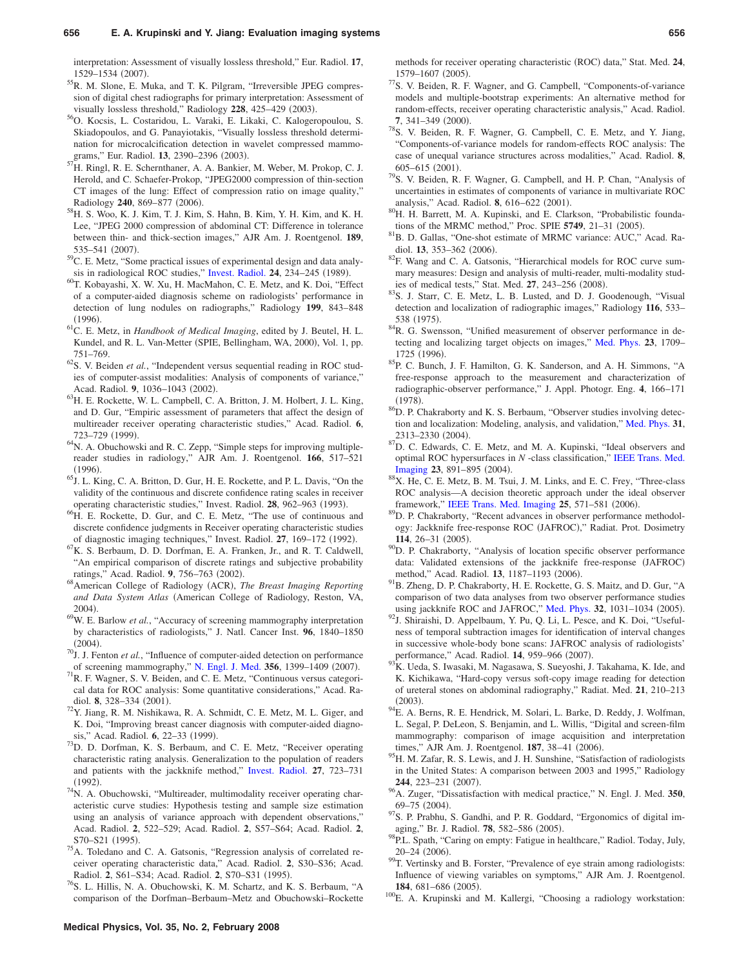interpretation: Assessment of visually lossless threshold," Eur. Radiol. **17**, 1529–1534 (2007).

- <sup>55</sup>R. M. Slone, E. Muka, and T. K. Pilgram, "Irreversible JPEG compression of digital chest radiographs for primary interpretation: Assessment of visually lossless threshold," Radiology  $228$ ,  $425-429$   $(2003)$ .
- . 56O. Kocsis, L. Costaridou, L. Varaki, E. Likaki, C. Kalogeropoulou, S. Skiadopoulos, and G. Panayiotakis, "Visually lossless threshold determination for microcalcification detection in wavelet compressed mammograms," Eur. Radiol. 13, 2390–2396 (2003).
- <sup>7</sup>H. Ringl, R. E. Schernthaner, A. A. Bankier, M. Weber, M. Prokop, C. J. Herold, and C. Schaefer-Prokop, "JPEG2000 compression of thin-section CT images of the lung: Effect of compression ratio on image quality," Radiology 240, 869-877 (2006).
- . 58H. S. Woo, K. J. Kim, T. J. Kim, S. Hahn, B. Kim, Y. H. Kim, and K. H. Lee, "JPEG 2000 compression of abdominal CT: Difference in tolerance between thin- and thick-section images," AJR Am. J. Roentgenol. **189**, 535–541 (2007).
- . 59C. E. Metz, "Some practical issues of experimental design and data analy-sis in radiological ROC studies," [Invest. Radiol.](http://dx.doi.org/10.1097/00004424-198903000-00012) 24, 234-245 (1989).
- . 60T. Kobayashi, X. W. Xu, H. MacMahon, C. E. Metz, and K. Doi, "Effect of a computer-aided diagnosis scheme on radiologists' performance in detection of lung nodules on radiographs," Radiology **199**, 843–848  $(1996)$ .
- . 61C. E. Metz, in *Handbook of Medical Imaging*, edited by J. Beutel, H. L. Kundel, and R. L. Van-Metter (SPIE, Bellingham, WA, 2000), Vol. 1, pp. 751–769.
- 62S. V. Beiden *et al.*, "Independent versus sequential reading in ROC studies of computer-assist modalities: Analysis of components of variance," Acad. Radiol. 9, 1036-1043 (2002).
- . 63H. E. Rockette, W. L. Campbell, C. A. Britton, J. M. Holbert, J. L. King, and D. Gur, "Empiric assessment of parameters that affect the design of multireader receiver operating characteristic studies," Acad. Radiol. **6**, 723–729 (1999).
- <sup>64</sup>N. A. Obuchowski and R. C. Zepp, "Simple steps for improving multiplereader studies in radiology," AJR Am. J. Roentgenol. **166**, 517–521  $(1996)$ .
- $^{65}$ J. L. King, C. A. Britton, D. Gur, H. E. Rockette, and P. L. Davis, "On the validity of the continuous and discrete confidence rating scales in receiver operating characteristic studies," Invest. Radiol. 28, 962-963 (1993).
- <sup>66</sup>H. E. Rockette, D. Gur, and C. E. Metz, "The use of continuous and discrete confidence judgments in Receiver operating characteristic studies of diagnostic imaging techniques," Invest. Radiol. 27, 169-172 (1992).
- ${}^{67}K$ . S. Berbaum, D. D. Dorfman, E. A. Franken, Jr., and R. T. Caldwell, "An empirical comparison of discrete ratings and subjective probability ratings," Acad. Radiol. 9, 756–763 (2002).
- ratings," Acad. Radiol. 9, 756–763 (2002).<br><sup>68</sup>American College of Radiology (ACR), *The Breast Imaging Reporting* and Data System Atlas (American College of Radiology, Reston, VA,  $2004$ ).
- <sup>69</sup>W. E. Barlow *et al.*, "Accuracy of screening mammography interpretation by characteristics of radiologists," J. Natl. Cancer Inst. **96**, 1840–1850  $(2004).$
- $^{70}$ J. J. Fenton *et al.*, "Influence of computer-aided detection on performance of screening mammography," [N. Engl. J. Med.](http://dx.doi.org/10.1056/NEJMoa066099) 356, 1399–1409 (2007).
- $171R$ . F. Wagner, S. V. Beiden, and C. E. Metz, "Continuous versus categorical data for ROC analysis: Some quantitative considerations," Acad. Radiol. **8**, 328–334 (2001).
- $^{72}Y$ . Jiang, R. M. Nishikawa, R. A. Schmidt, C. E. Metz, M. L. Giger, and K. Doi, "Improving breast cancer diagnosis with computer-aided diagnosis," Acad. Radiol. **6**, 22-33 (1999).
- <sup>73</sup>D. D. Dorfman, K. S. Berbaum, and C. E. Metz, "Receiver operating characteristic rating analysis. Generalization to the population of readers and patients with the jackknife method," [Invest. Radiol.](http://dx.doi.org/10.1097/00004424-199209000-00015) **27**, 723–731  $(1992).$
- $74$ N. A. Obuchowski, "Multireader, multimodality receiver operating characteristic curve studies: Hypothesis testing and sample size estimation using an analysis of variance approach with dependent observations," Acad. Radiol. **2**, 522–529; Acad. Radiol. **2**, S57–S64; Acad. Radiol. **2**, S70-S21 (1995).
- <sup>75</sup>A. Toledano and C. A. Gatsonis, "Regression analysis of correlated receiver operating characteristic data," Acad. Radiol. **2**, S30–S36; Acad. Radiol. **2**, S61–S34; Acad. Radiol. **2**, S70–S31 (1995).
- <sup>76</sup>S. L. Hillis, N. A. Obuchowski, K. M. Schartz, and K. S. Berbaum, "A comparison of the Dorfman–Berbaum–Metz and Obuchowski–Rockette

methods for receiver operating characteristic (ROC) data," Stat. Med. 24, 1579–1607 (2005).

- <sup>77</sup>S. V. Beiden, R. F. Wagner, and G. Campbell, "Components-of-variance models and multiple-bootstrap experiments: An alternative method for random-effects, receiver operating characteristic analysis," Acad. Radiol. 7, 341-349 (2000).
- <sup>78</sup>S. V. Beiden, R. F. Wagner, G. Campbell, C. E. Metz, and Y. Jiang, "Components-of-variance models for random-effects ROC analysis: The case of unequal variance structures across modalities," Acad. Radiol. **8**,  $605-615$  (2001).
- <sup>79</sup>S. V. Beiden, R. F. Wagner, G. Campbell, and H. P. Chan, "Analysis of uncertainties in estimates of components of variance in multivariate ROC analysis," Acad. Radiol. 8, 616-622 (2001).
- <sup>80</sup>H. H. Barrett, M. A. Kupinski, and E. Clarkson, "Probabilistic foundations of the MRMC method," Proc. SPIE **5749**, 21–31 (2005).
- . 81B. D. Gallas, "One-shot estimate of MRMC variance: AUC," Acad. Radiol. **13**, 353–362 (2006).
- . 82F. Wang and C. A. Gatsonis, "Hierarchical models for ROC curve summary measures: Design and analysis of multi-reader, multi-modality studies of medical tests," Stat. Med. 27, 243-256 (2008).
- <sup>83</sup>S. J. Starr, C. E. Metz, L. B. Lusted, and D. J. Goodenough, "Visual detection and localization of radiographic images," Radiology **116**, 533– 538 (1975).
- <sup>84</sup>R. G. Swensson, "Unified measurement of observer performance in detecting and localizing target objects on images," [Med. Phys.](http://dx.doi.org/10.1118/1.597758) **23**, 1709– 1725 (1996).
- . 85P. C. Bunch, J. F. Hamilton, G. K. Sanderson, and A. H. Simmons, "A free-response approach to the measurement and characterization of radiographic-observer performance," J. Appl. Photogr. Eng. **4**, 166–171  $(1978)$
- . 86D. P. Chakraborty and K. S. Berbaum, "Observer studies involving detection and localization: Modeling, analysis, and validation," [Med. Phys.](http://dx.doi.org/10.1118/1.1769352) **31**, 2313-2330 (2004).
- <sup>87</sup>D. C. Edwards, C. E. Metz, and M. A. Kupinski, "Ideal observers and optimal ROC hypersurfaces in *N* -class classification," [IEEE Trans. Med.](http://dx.doi.org/10.1109/TMI.2004.828358) [Imaging](http://dx.doi.org/10.1109/TMI.2004.828358) 23, 891–895 (2004).
- 88X. He, C. E. Metz, B. M. Tsui, J. M. Links, and E. C. Frey, "Three-class ROC analysis—A decision theoretic approach under the ideal observer framework," [IEEE Trans. Med. Imaging](http://dx.doi.org/10.1109/TMI.2006.871416) 25, 571-581 (2006).
- <sup>89</sup>D. P. Chakraborty, "Recent advances in observer performance methodology: Jackknife free-response ROC (JAFROC)," Radiat. Prot. Dosimetry **114**, 26–31 (2005).
- <sup>90</sup>D. P. Chakraborty, "Analysis of location specific observer performance data: Validated extensions of the jackknife free-response (JAFROC) method," Acad. Radiol. 13, 1187-1193 (2006).
- <sup>91</sup>B. Zheng, D. P. Chakraborty, H. E. Rockette, G. S. Maitz, and D. Gur, "A comparison of two data analyses from two observer performance studies using jackknife ROC and JAFROC," [Med. Phys.](http://dx.doi.org/10.1118/1.1884766) 32, 1031-1034 (2005).
- <sup>92</sup>J. Shiraishi, D. Appelbaum, Y. Pu, Q. Li, L. Pesce, and K. Doi, "Usefulness of temporal subtraction images for identification of interval changes in successive whole-body bone scans: JAFROC analysis of radiologists' performance," Acad. Radiol. **14**, 959-966 (2007).
- $^{93}$ K. Ueda, S. Iwasaki, M. Nagasawa, S. Sueyoshi, J. Takahama, K. Ide, and K. Kichikawa, "Hard-copy versus soft-copy image reading for detection of ureteral stones on abdominal radiography," Radiat. Med. **21**, 210–213  $(2003).$
- <sup>94</sup>E. A. Berns, R. E. Hendrick, M. Solari, L. Barke, D. Reddy, J. Wolfman, L. Segal, P. DeLeon, S. Benjamin, and L. Willis, "Digital and screen-film mammography: comparison of image acquisition and interpretation times," AJR Am. J. Roentgenol. **187**, 38–41 (2006).
- <sup>95</sup>H. M. Zafar, R. S. Lewis, and J. H. Sunshine, "Satisfaction of radiologists in the United States: A comparison between 2003 and 1995," Radiology **244**, 223-231 (2007).
- . 96A. Zuger, "Dissatisfaction with medical practice," N. Engl. J. Med. **<sup>350</sup>**,  $69 - 75$   $(2004)$ .
- <sup>97</sup>S. P. Prabhu, S. Gandhi, and P. R. Goddard, "Ergonomics of digital imaging," Br. J. Radiol. **78**, 582–586 (2005).
- 98P.L. Spath, "Caring on empty: Fatigue in healthcare," Radiol. Today, July,  $20-24$   $(2006)$ .
- <sup>99</sup>T. Vertinsky and B. Forster, "Prevalence of eye strain among radiologists: Influence of viewing variables on symptoms," AJR Am. J. Roentgenol. 184, 681-686 (2005).
- $100$ E. A. Krupinski and M. Kallergi, "Choosing a radiology workstation: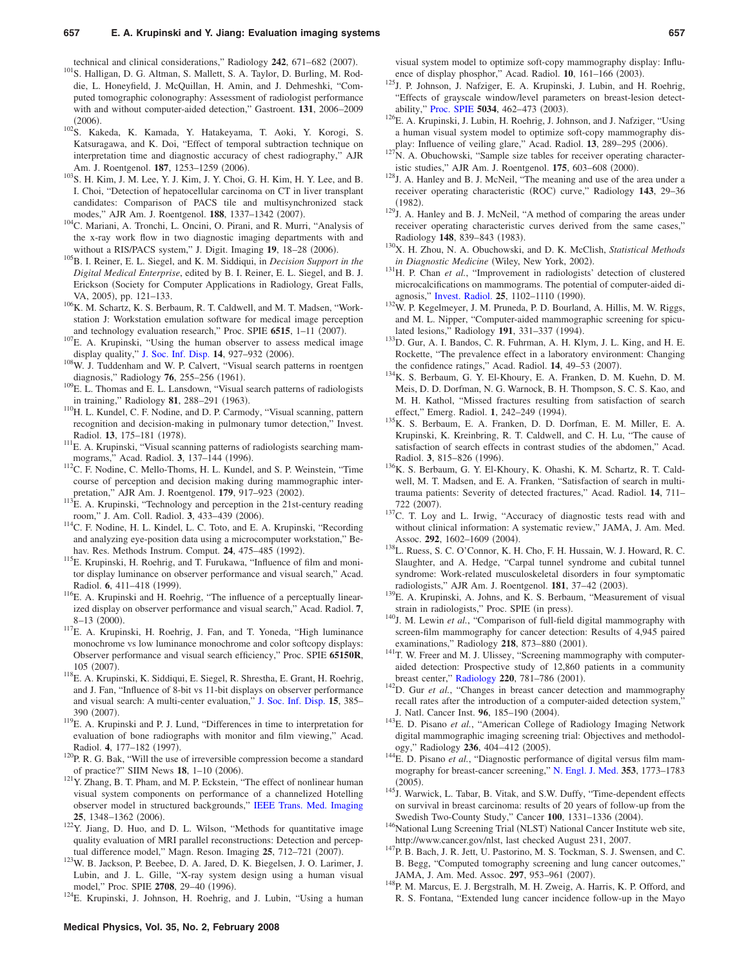technical and clinical considerations," Radiology 242, 671-682 (2007).

- <sup>101</sup>S. Halligan, D. G. Altman, S. Mallett, S. A. Taylor, D. Burling, M. Roddie, L. Honeyfield, J. McQuillan, H. Amin, and J. Dehmeshki, "Computed tomographic colonography: Assessment of radiologist performance with and without computer-aided detection," Gastroent. **131**, 2006–2009  $(2006)$ .
- . 102S. Kakeda, K. Kamada, Y. Hatakeyama, T. Aoki, Y. Korogi, S. Katsuragawa, and K. Doi, "Effect of temporal subtraction technique on interpretation time and diagnostic accuracy of chest radiography," AJR Am. J. Roentgenol. **187**, 1253-1259 (2006).
- $103$ S. H. Kim, J. M. Lee, Y. J. Kim, J. Y. Choi, G. H. Kim, H. Y. Lee, and B. I. Choi, "Detection of hepatocellular carcinoma on CT in liver transplant candidates: Comparison of PACS tile and multisynchronized stack modes," AJR Am. J. Roentgenol. **188**, 1337-1342 (2007).
- . 104C. Mariani, A. Tronchi, L. Oncini, O. Pirani, and R. Murri, "Analysis of the x-ray work flow in two diagnostic imaging departments with and without a RIS/PACS system," J. Digit. Imaging 19, 18-28 (2006).
- <sup>105</sup>B. I. Reiner, E. L. Siegel, and K. M. Siddiqui, in *Decision Support in the Digital Medical Enterprise*, edited by B. I. Reiner, E. L. Siegel, and B. J. Erickson (Society for Computer Applications in Radiology, Great Falls, VA, 2005), pp. 121-133.
- $106$ K. M. Schartz, K. S. Berbaum, R. T. Caldwell, and M. T. Madsen, "Workstation J: Workstation emulation software for medical image perception and technology evaluation research," Proc. SPIE 6515, 1-11 (2007).
- <sup>107</sup>E. A. Krupinski, "Using the human observer to assess medical image display quality," [J. Soc. Inf. Disp.](http://dx.doi.org/10.1889/1.2372427) 14, 927-932 (2006).
- <sup>108</sup>W. J. Tuddenham and W. P. Calvert, "Visual search patterns in roentgen diagnosis," Radiology 76, 255-256 (1961).
- <sup>109</sup>E. L. Thomas and E. L. Lansdown, "Visual search patterns of radiologists in training," Radiology 81, 288-291 (1963).
- <sup>110</sup>H. L. Kundel, C. F. Nodine, and D. P. Carmody, "Visual scanning, pattern recognition and decision-making in pulmonary tumor detection," Invest. Radiol. **13**, 175-181 (1978).
- <sup>111</sup>E. A. Krupinski, "Visual scanning patterns of radiologists searching mammograms," Acad. Radiol. 3, 137-144 (1996).
- <sup>112</sup>C. F. Nodine, C. Mello-Thoms, H. L. Kundel, and S. P. Weinstein, "Time course of perception and decision making during mammographic interpretation," AJR Am. J. Roentgenol. **179**, 917–923 (2002).
- <sup>113</sup>E. A. Krupinski, "Technology and perception in the 21st-century reading room," J. Am. Coll. Radiol. 3, 433-439 (2006).
- . 114C. F. Nodine, H. L. Kindel, L. C. Toto, and E. A. Krupinski, "Recording and analyzing eye-position data using a microcomputer workstation," Behav. Res. Methods Instrum. Comput. 24, 475-485 (1992).
- <sup>115</sup>E. Krupinski, H. Roehrig, and T. Furukawa, "Influence of film and monitor display luminance on observer performance and visual search," Acad. Radiol. 6, 411-418 (1999).
- $116$ E. A. Krupinski and H. Roehrig, "The influence of a perceptually linearized display on observer performance and visual search," Acad. Radiol. **7**,  $8-13$  (2000).
- . 117E. A. Krupinski, H. Roehrig, J. Fan, and T. Yoneda, "High luminance monochrome vs low luminance monochrome and color softcopy displays: Observer performance and visual search efficiency," Proc. SPIE **65150R**,  $105(2007)$ .
- . 118E. A. Krupinski, K. Siddiqui, E. Siegel, R. Shrestha, E. Grant, H. Roehrig, and J. Fan, "Influence of 8-bit vs 11-bit displays on observer performance and visual search: A multi-center evaluation," [J. Soc. Inf. Disp.](http://dx.doi.org/10.1889/1.2749324) **15**, 385– 390 (2007).
- <sup>119</sup>E. A. Krupinski and P. J. Lund, "Differences in time to interpretation for evaluation of bone radiographs with monitor and film viewing," Acad. Radiol. 4, 177-182 (1997).
- $120P$ , R. G. Bak, "Will the use of irreversible compression become a standard of practice?" SIIM News 18, 1-10 (2006).
- $121$ Y. Zhang, B. T. Pham, and M. P. Eckstein, "The effect of nonlinear human visual system components on performance of a channelized Hotelling observer model in structured backgrounds," [IEEE Trans. Med. Imaging](http://dx.doi.org/10.1109/TMI.2006.880681) **25**, 1348–1362 (2006).
- <sup>122</sup>Y. Jiang, D. Huo, and D. L. Wilson, "Methods for quantitative image quality evaluation of MRI parallel reconstructions: Detection and perceptual difference model," Magn. Reson. Imaging 25, 712-721 (2007).
- . 123W. B. Jackson, P. Beebee, D. A. Jared, D. K. Biegelsen, J. O. Larimer, J. Lubin, and J. L. Gille, "X-ray system design using a human visual model," Proc. SPIE 2708, 29-40 (1996).

<sup>124</sup>E. Krupinski, J. Johnson, H. Roehrig, and J. Lubin, "Using a human

visual system model to optimize soft-copy mammography display: Influence of display phosphor," Acad. Radiol. **10**, 161-166 (2003).

- <sup>125</sup>J. P. Johnson, J. Nafziger, E. A. Krupinski, J. Lubin, and H. Roehrig, "Effects of grayscale window/level parameters on breast-lesion detect-ability," [Proc. SPIE](http://dx.doi.org/10.1117/12.480340) 5034, 462-473 (2003).
- <sup>126</sup>E. A. Krupinski, J. Lubin, H. Roehrig, J. Johnson, and J. Nafziger, "Using a human visual system model to optimize soft-copy mammography display: Influence of veiling glare," Acad. Radiol. 13, 289-295 (2006).
- $127$ N. A. Obuchowski, "Sample size tables for receiver operating characteristic studies," AJR Am. J. Roentgenol. **175**, 603-608 (2000).
- <sup>128</sup>J. A. Hanley and B. J. McNeil, "The meaning and use of the area under a receiver operating characteristic (ROC) curve," Radiology 143, 29-36  $(1982)$ .
- $129$ . A. Hanley and B. J. McNeil, "A method of comparing the areas under receiver operating characteristic curves derived from the same cases," Radiology 148, 839-843 (1983).
- . 130X. H. Zhou, N. A. Obuchowski, and D. K. McClish, *Statistical Methods in Diagnostic Medicine* (Wiley, New York, 2002).
- <sup>131</sup>H. P. Chan *et al.*, "Improvement in radiologists' detection of clustered microcalcifications on mammograms. The potential of computer-aided di-agnosis," [Invest. Radiol.](http://dx.doi.org/10.1097/00004424-199010000-00006) 25, 1102-1110 (1990).
- <sup>132</sup>W. P. Kegelmeyer, J. M. Pruneda, P. D. Bourland, A. Hillis, M. W. Riggs, and M. L. Nipper, "Computer-aided mammographic screening for spiculated lesions," Radiology 191, 331-337 (1994).
- <sup>133</sup>D. Gur, A. I. Bandos, C. R. Fuhrman, A. H. Klym, J. L. King, and H. E. Rockette, "The prevalence effect in a laboratory environment: Changing the confidence ratings," Acad. Radiol. **14**, 49–53 (2007).
- . 134K. S. Berbaum, G. Y. El-Khoury, E. A. Franken, D. M. Kuehn, D. M. Meis, D. D. Dorfman, N. G. Warnock, B. H. Thompson, S. C. S. Kao, and M. H. Kathol, "Missed fractures resulting from satisfaction of search effect," Emerg. Radiol. 1, 242-249 (1994).
- . 135K. S. Berbaum, E. A. Franken, D. D. Dorfman, E. M. Miller, E. A. Krupinski, K. Kreinbring, R. T. Caldwell, and C. H. Lu, "The cause of satisfaction of search effects in contrast studies of the abdomen," Acad. Radiol. 3, 815–826 (1996).
- . 136K. S. Berbaum, G. Y. El-Khoury, K. Ohashi, K. M. Schartz, R. T. Caldwell, M. T. Madsen, and E. A. Franken, "Satisfaction of search in multitrauma patients: Severity of detected fractures," Acad. Radiol. **14**, 711– 722 (2007).
- <sup>137</sup>C. T. Loy and L. Irwig, "Accuracy of diagnostic tests read with and without clinical information: A systematic review," JAMA, J. Am. Med. Assoc. 292, 1602-1609 (2004).
- 138L. Ruess, S. C. O'Connor, K. H. Cho, F. H. Hussain, W. J. Howard, R. C. Slaughter, and A. Hedge, "Carpal tunnel syndrome and cubital tunnel syndrome: Work-related musculoskeletal disorders in four symptomatic radiologists," AJR Am. J. Roentgenol. 181, 37-42 (2003).
- <sup>139</sup>E. A. Krupinski, A. Johns, and K. S. Berbaum, "Measurement of visual strain in radiologists," Proc. SPIE (in press).
- <sup>140</sup>J. M. Lewin et al., "Comparison of full-field digital mammography with screen-film mammography for cancer detection: Results of 4,945 paired examinations," Radiology 218, 873-880 (2001).
- <sup>141</sup>T. W. Freer and M. J. Ulissey, "Screening mammography with computeraided detection: Prospective study of 12,860 patients in a community breast center," [Radiology](http://dx.doi.org/10.1148/radiol.2203001282) 220, 781-786 (2001).
- <sup>142</sup>D. Gur *et al.*, "Changes in breast cancer detection and mammography recall rates after the introduction of a computer-aided detection system, J. Natl. Cancer Inst. 96, 185-190 (2004).
- <sup>143</sup>E. D. Pisano et al., "American College of Radiology Imaging Network digital mammographic imaging screening trial: Objectives and methodology," Radiology 236, 404-412 (2005).
- <sup>144</sup>E. D. Pisano *et al.*, "Diagnostic performance of digital versus film mammography for breast-cancer screening," [N. Engl. J. Med.](http://dx.doi.org/10.1056/NEJMoa052911) **353**, 1773–1783  $(2005).$
- <sup>145</sup>J. Warwick, L. Tabar, B. Vitak, and S.W. Duffy, "Time-dependent effects on survival in breast carcinoma: results of 20 years of follow-up from the Swedish Two-County Study," Cancer 100, 1331-1336 (2004).
- Swedish Two-County Study," Cancer 100, 1331–1336 (2004).<br><sup>146</sup>National Lung Screening Trial (NLST) National Cancer Institute web site,
- http://www.cancer.gov/nlst, last checked August 231, 2007.<br><sup>147</sup>P. B. Bach, J. R. Jett, U. Pastorino, M. S. Tockman, S. J. Swensen, and C. B. Begg, "Computed tomography screening and lung cancer outcomes," JAMA, J. Am. Med. Assoc. **297**, 953–961 (2007).
- <sup>148</sup>P. M. Marcus, E. J. Bergstralh, M. H. Zweig, A. Harris, K. P. Offord, and R. S. Fontana, "Extended lung cancer incidence follow-up in the Mayo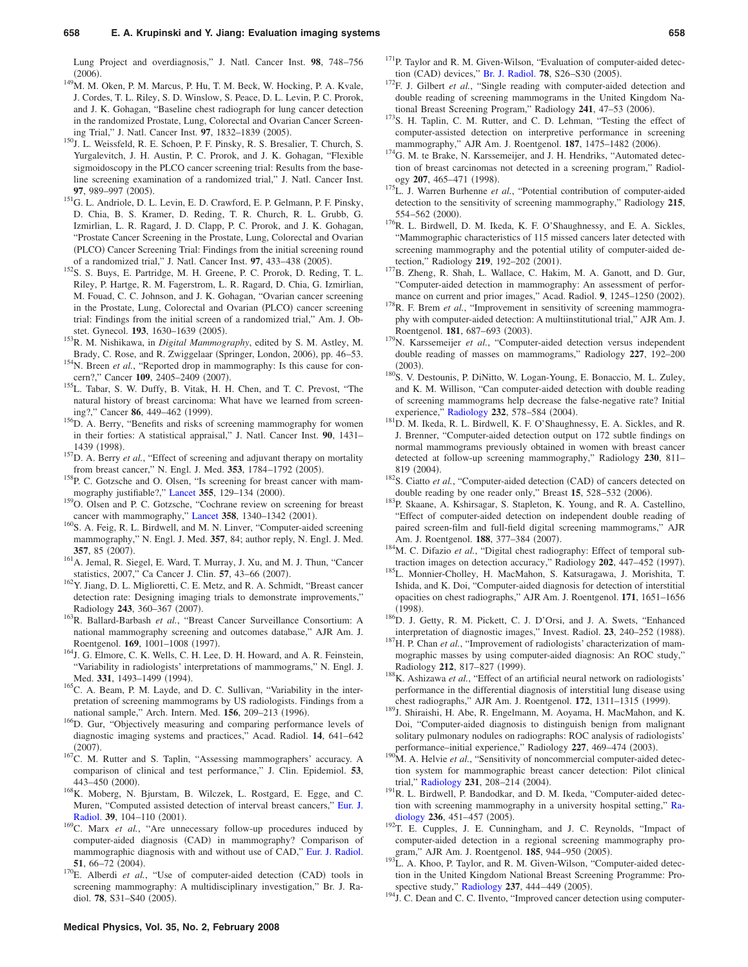Lung Project and overdiagnosis," J. Natl. Cancer Inst. **98**, 748–756  $(2006).$ 

- <sup>149</sup>M. M. Oken, P. M. Marcus, P. Hu, T. M. Beck, W. Hocking, P. A. Kvale, J. Cordes, T. L. Riley, S. D. Winslow, S. Peace, D. L. Levin, P. C. Prorok, and J. K. Gohagan, "Baseline chest radiograph for lung cancer detection in the randomized Prostate, Lung, Colorectal and Ovarian Cancer Screening Trial," J. Natl. Cancer Inst. **97**, 1832–1839 (2005).
- <sup>150</sup>J. L. Weissfeld, R. E. Schoen, P. F. Pinsky, R. S. Bresalier, T. Church, S. Yurgalevitch, J. H. Austin, P. C. Prorok, and J. K. Gohagan, "Flexible sigmoidoscopy in the PLCO cancer screening trial: Results from the baseline screening examination of a randomized trial," J. Natl. Cancer Inst. **97.** 989–997 (2005).
- . 151G. L. Andriole, D. L. Levin, E. D. Crawford, E. P. Gelmann, P. F. Pinsky, D. Chia, B. S. Kramer, D. Reding, T. R. Church, R. L. Grubb, G. Izmirlian, L. R. Ragard, J. D. Clapp, P. C. Prorok, and J. K. Gohagan, "Prostate Cancer Screening in the Prostate, Lung, Colorectal and Ovarian (PLCO) Cancer Screening Trial: Findings from the initial screening round of a randomized trial," J. Natl. Cancer Inst. **97**, 433-438 (2005).
- . 152S. S. Buys, E. Partridge, M. H. Greene, P. C. Prorok, D. Reding, T. L. Riley, P. Hartge, R. M. Fagerstrom, L. R. Ragard, D. Chia, G. Izmirlian, M. Fouad, C. C. Johnson, and J. K. Gohagan, "Ovarian cancer screening in the Prostate, Lung, Colorectal and Ovarian (PLCO) cancer screening trial: Findings from the initial screen of a randomized trial," Am. J. Obstet. Gynecol. **193**, 1630–1639 (2005).
- . 153R. M. Nishikawa, in *Digital Mammography*, edited by S. M. Astley, M. Brady, C. Rose, and R. Zwiggelaar (Springer, London, 2006), pp. 46-53.
- <sup>154</sup>N. Breen *et al.*, "Reported drop in mammography: Is this cause for concern?," Cancer 109, 2405-2409 (2007).
- . 155L. Tabar, S. W. Duffy, B. Vitak, H. H. Chen, and T. C. Prevost, "The natural history of breast carcinoma: What have we learned from screening?," Cancer 86, 449-462 (1999).
- <sup>156</sup>D. A. Berry, "Benefits and risks of screening mammography for women in their forties: A statistical appraisal," J. Natl. Cancer Inst. **90**, 1431– 1439 (1998).
- <sup>157</sup>D. A. Berry *et al.*, "Effect of screening and adjuvant therapy on mortality from breast cancer," N. Engl. J. Med. 353, 1784-1792 (2005).
- <sup>158</sup>P. C. Gotzsche and O. Olsen, "Is screening for breast cancer with mam-mography justifiable?," [Lancet](http://dx.doi.org/10.1016/S0140-6736(99)06065-1) 355, 129-134 (2000).
- 159<sub>O</sub>. Olsen and P. C. Gotzsche, "Cochrane review on screening for breast cancer with mammography," [Lancet](http://dx.doi.org/10.1016/S0140-6736(01)06449-2) 358, 1340-1342 (2001).
- <sup>160</sup>S. A. Feig, R. L. Birdwell, and M. N. Linver, "Computer-aided screening mammography," N. Engl. J. Med. **357**, 84; author reply, N. Engl. J. Med. **357**, 85 (2007).
- <sup>161</sup>A. Jemal, R. Siegel, E. Ward, T. Murray, J. Xu, and M. J. Thun, "Cancer statistics, 2007," Ca Cancer J. Clin. **57**, 43–66 (2007).
- . 162Y. Jiang, D. L. Miglioretti, C. E. Metz, and R. A. Schmidt, "Breast cancer detection rate: Designing imaging trials to demonstrate improvements," Radiology 243, 360-367 (2007).
- . 163R. Ballard-Barbash *et al.*, "Breast Cancer Surveillance Consortium: A national mammography screening and outcomes database," AJR Am. J. Roentgenol. **169**, 1001-1008 (1997).
- <sup>164</sup>J. G. Elmore, C. K. Wells, C. H. Lee, D. H. Howard, and A. R. Feinstein, "Variability in radiologists' interpretations of mammograms," N. Engl. J. Med. 331, 1493–1499 (1994).
- <sup>165</sup>C. A. Beam, P. M. Layde, and D. C. Sullivan, "Variability in the interpretation of screening mammograms by US radiologists. Findings from a national sample," Arch. Intern. Med. 156, 209-213 (1996).
- . 166D. Gur, "Objectively measuring and comparing performance levels of diagnostic imaging systems and practices," Acad. Radiol. **14**, 641–642  $(2007).$
- <sup>167</sup>C. M. Rutter and S. Taplin, "Assessing mammographers' accuracy. A comparison of clinical and test performance," J. Clin. Epidemiol. **53**, 443-450 (2000).
- . 168K. Moberg, N. Bjurstam, B. Wilczek, L. Rostgard, E. Egge, and C. Muren, "Computed assisted detection of interval breast cancers," [Eur. J.](http://dx.doi.org/10.1016/S0720-048X(01)00291-1) [Radiol.](http://dx.doi.org/10.1016/S0720-048X(01)00291-1) 39, 104-110 (2001).
- <sup>169</sup>C. Marx *et al.*, "Are unnecessary follow-up procedures induced by computer-aided diagnosis (CAD) in mammography? Comparison of mammographic diagnosis with and without use of CAD," [Eur. J. Radiol.](http://dx.doi.org/10.1016/S0720-048X(03)00144-X)  $51,66-72(2004)$ **51**, 66–72 (2004).<br><sup>170</sup>E. Alberdi *et al.*, "Use of computer-aided detection (CAD) tools in
- screening mammography: A multidisciplinary investigation," Br. J. Radiol. 78, S31-S40 (2005).
- <sup>171</sup>P. Taylor and R. M. Given-Wilson, "Evaluation of computer-aided detec-tion (CAD) devices," [Br. J. Radiol.](http://dx.doi.org/10.1259/bjr/84545410) 78, S26-S30 (2005)
- <sup>172</sup>F. J. Gilbert *et al.*, "Single reading with computer-aided detection and double reading of screening mammograms in the United Kingdom National Breast Screening Program," Radiology 241, 47–53 (2006).
- <sup>173</sup>S. H. Taplin, C. M. Rutter, and C. D. Lehman, "Testing the effect of computer-assisted detection on interpretive performance in screening mammography," AJR Am. J. Roentgenol. **187**, 1475-1482 (2006).
- <sup>174</sup>G. M. te Brake, N. Karssemeijer, and J. H. Hendriks, "Automated detection of breast carcinomas not detected in a screening program," Radiology 207, 465-471 (1998).
- <sup>175</sup>L. J. Warren Burhenne et al., "Potential contribution of computer-aided detection to the sensitivity of screening mammography," Radiology **215**, 554-562 (2000).
- <sup>176</sup>R. L. Birdwell, D. M. Ikeda, K. F. O'Shaughnessy, and E. A. Sickles, "Mammographic characteristics of 115 missed cancers later detected with screening mammography and the potential utility of computer-aided detection," Radiology 219, 192-202 (2001).
- <sup>177</sup>B. Zheng, R. Shah, L. Wallace, C. Hakim, M. A. Ganott, and D. Gur, "Computer-aided detection in mammography: An assessment of performance on current and prior images," Acad. Radiol. 9, 1245-1250 (2002).
- <sup>178</sup>R. F. Brem *et al.*, "Improvement in sensitivity of screening mammography with computer-aided detection: A multiinstitutional trial," AJR Am. J. Roentgenol. **181**, 687–693 (2003).
- <sup>179</sup>N. Karssemeijer et al., "Computer-aided detection versus independent double reading of masses on mammograms," Radiology **227**, 192–200  $(2003).$
- 180S. V. Destounis, P. DiNitto, W. Logan-Young, E. Bonaccio, M. L. Zuley, and K. M. Willison, "Can computer-aided detection with double reading of screening mammograms help decrease the false-negative rate? Initial experience," [Radiology](http://dx.doi.org/10.1148/radiol.2322030034) 232, 578-584 (2004).
- <sup>181</sup>D. M. Ikeda, R. L. Birdwell, K. F. O'Shaughnessy, E. A. Sickles, and R. J. Brenner, "Computer-aided detection output on 172 subtle findings on normal mammograms previously obtained in women with breast cancer detected at follow-up screening mammography," Radiology **230**, 811– 819 (2004).
- 819 (2004).<br><sup>182</sup>S. Ciatto *et al.*, "Computer-aided detection (CAD) of cancers detected on double reading by one reader only," Breast  $15$ ,  $528-532$   $(2006)$ .
- <sup>183</sup>P. Skaane, A. Kshirsagar, S. Stapleton, K. Young, and R. A. Castellino, "Effect of computer-aided detection on independent double reading of paired screen-film and full-field digital screening mammograms," AJR Am. J. Roentgenol. **188**, 377-384 (2007).
- <sup>184</sup>M. C. Difazio et al., "Digital chest radiography: Effect of temporal subtraction images on detection accuracy," Radiology 202, 447-452 (1997).
- 185L. Monnier-Cholley, H. MacMahon, S. Katsuragawa, J. Morishita, T. Ishida, and K. Doi, "Computer-aided diagnosis for detection of interstitial opacities on chest radiographs," AJR Am. J. Roentgenol. **171**, 1651–1656  $(1998).$
- <sup>186</sup>D. J. Getty, R. M. Pickett, C. J. D'Orsi, and J. A. Swets, "Enhanced interpretation of diagnostic images," Invest. Radiol. 23, 240-252 (1988).
- <sup>187</sup>H. P. Chan *et al.*, "Improvement of radiologists' characterization of mammographic masses by using computer-aided diagnosis: An ROC study," Radiology 212, 817-827 (1999).
- <sup>188</sup>K. Ashizawa *et al.*, "Effect of an artificial neural network on radiologists' performance in the differential diagnosis of interstitial lung disease using chest radiographs," AJR Am. J. Roentgenol. **172**, 1311–1315 (1999).
- 189J. Shiraishi, H. Abe, R. Engelmann, M. Aoyama, H. MacMahon, and K. Doi, "Computer-aided diagnosis to distinguish benign from malignant solitary pulmonary nodules on radiographs: ROC analysis of radiologists' performance–initial experience," Radiology 227, 469–474 (2003).
- <sup>190</sup>M. A. Helvie *et al.*, "Sensitivity of noncommercial computer-aided detection system for mammographic breast cancer detection: Pilot clinical trial," [Radiology](http://dx.doi.org/10.1148/radiol.2311030429) 231, 208-214 (2004).
- <sup>191</sup>R. L. Birdwell, P. Bandodkar, and D. M. Ikeda, "Computer-aided detection with screening mammography in a university hospital setting," [Ra](http://dx.doi.org/10.1148/radiol.2362040864)[diology](http://dx.doi.org/10.1148/radiol.2362040864) 236, 451-457 (2005).
- <sup>192</sup>T. E. Cupples, J. E. Cunningham, and J. C. Reynolds, "Impact of computer-aided detection in a regional screening mammography program," AJR Am. J. Roentgenol. **185**, 944-950 (2005).
- <sup>193</sup>L. A. Khoo, P. Taylor, and R. M. Given-Wilson, "Computer-aided detection in the United Kingdom National Breast Screening Programme: Pro-spective study," [Radiology](http://dx.doi.org/10.1148/radiol.2372041362) 237, 444-449 (2005).
- <sup>194</sup>J. C. Dean and C. C. Ilvento, "Improved cancer detection using computer-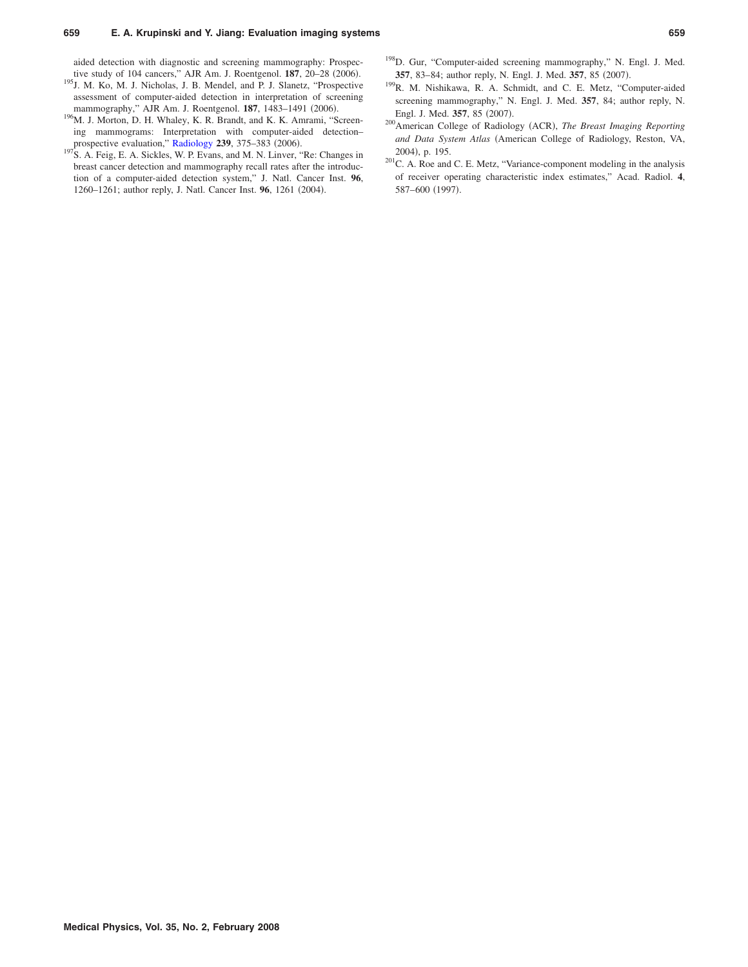#### **659 E. A. Krupinski and Y. Jiang: Evaluation imaging systems 659**

aided detection with diagnostic and screening mammography: Prospective study of 104 cancers," AJR Am. J. Roentgenol. **187**, 20–28 (2006).

- <sup>195</sup>J. M. Ko, M. J. Nicholas, J. B. Mendel, and P. J. Slanetz, "Prospective assessment of computer-aided detection in interpretation of screening mammography," AJR Am. J. Roentgenol. **187**, 1483-1491 (2006).
- <sup>196</sup>M. J. Morton, D. H. Whaley, K. R. Brandt, and K. K. Amrami, "Screening mammograms: Interpretation with computer-aided detection– prospective evaluation," [Radiology](http://dx.doi.org/10.1148/radiol.2392042121) 239, 375-383 (2006).
- <sup>197</sup>S. A. Feig, E. A. Sickles, W. P. Evans, and M. N. Linver, "Re: Changes in breast cancer detection and mammography recall rates after the introduction of a computer-aided detection system," J. Natl. Cancer Inst. **96**, 1260-1261; author reply, J. Natl. Cancer Inst. 96, 1261 (2004).
- 198D. Gur, "Computer-aided screening mammography," N. Engl. J. Med. **357**, 83-84; author reply, N. Engl. J. Med. **357**, 85 (2007).
- 199R. M. Nishikawa, R. A. Schmidt, and C. E. Metz, "Computer-aided screening mammography," N. Engl. J. Med. **357**, 84; author reply, N. Engl. J. Med. 357, 85 (2007).
- <sup>200</sup> American College of Radiology (ACR), *The Breast Imaging Reporting* and Data System Atlas (American College of Radiology, Reston, VA, 2004), p. 195.
- 201C. A. Roe and C. E. Metz, "Variance-component modeling in the analysis of receiver operating characteristic index estimates," Acad. Radiol. **4**, 587–600 (1997).